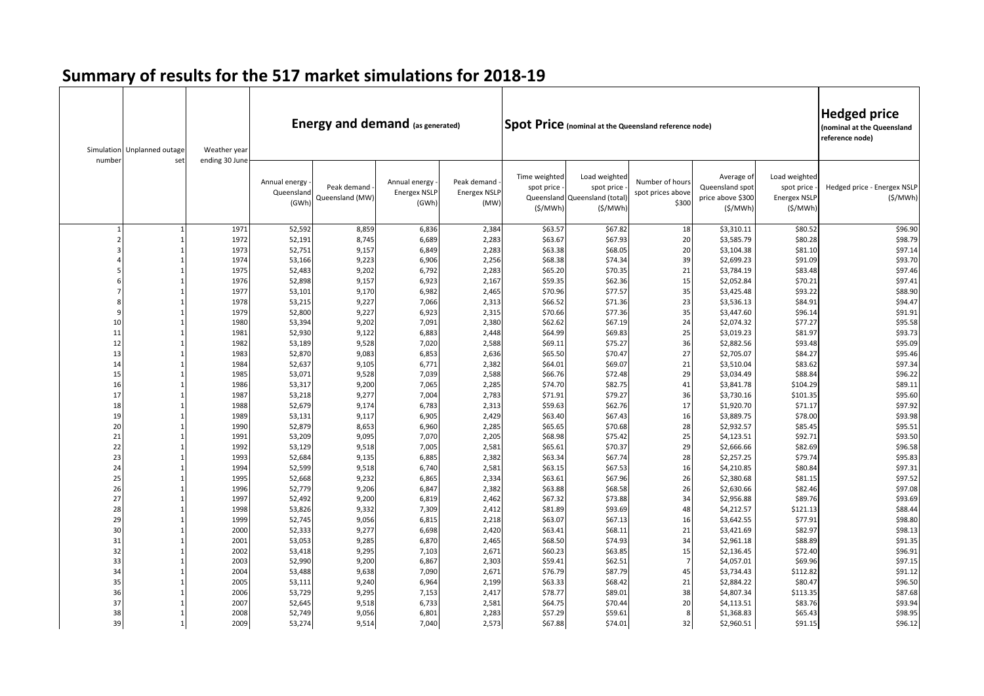| number   | Simulation Unplanned outage<br>set | Weather year<br>ending 30 June |                                      | <b>Energy and demand (as generated)</b> |                                               |                                            |                                        |                                                                        | <b>Spot Price</b> (nominal at the Queensland reference node) |                                                               |                                                        | <b>Hedged price</b><br>(nominal at the Queensland<br>reference node) |
|----------|------------------------------------|--------------------------------|--------------------------------------|-----------------------------------------|-----------------------------------------------|--------------------------------------------|----------------------------------------|------------------------------------------------------------------------|--------------------------------------------------------------|---------------------------------------------------------------|--------------------------------------------------------|----------------------------------------------------------------------|
|          |                                    |                                | Annual energy<br>Queensland<br>(GWh) | Peak demand<br>Queensland (MW)          | Annual energy<br><b>Energex NSLF</b><br>(GWh) | Peak demand<br><b>Energex NSLP</b><br>(MW) | Time weighted<br>spot price<br>(S/MWh) | Load weighted<br>spot price<br>Queensland Queensland (total<br>(\$/MWh | Number of hours<br>spot prices above<br>\$300                | Average of<br>Queensland spot<br>price above \$300<br>(\$/MWh | Load weighted<br>spot price<br>Energex NSLP<br>(S/MWh) | Hedged price - Energex NSLP<br>(S/MWh)                               |
|          |                                    | 1971                           | 52,592                               | 8,859                                   | 6,836                                         | 2,384                                      | \$63.57                                | \$67.82                                                                | 18                                                           | \$3,310.11                                                    | \$80.52                                                | \$96.90                                                              |
|          |                                    | 1972                           | 52,191                               | 8,745                                   | 6,689                                         | 2,283                                      | \$63.67                                | \$67.93                                                                | 20                                                           | \$3,585.79                                                    | \$80.28                                                | \$98.79                                                              |
|          |                                    | 1973                           | 52,751                               | 9,157                                   | 6,849                                         | 2,283                                      | \$63.38                                | \$68.05                                                                | 20                                                           | \$3,104.38                                                    | \$81.10                                                | \$97.14                                                              |
|          |                                    | 1974                           | 53,166                               | 9,223                                   | 6,906                                         | 2,256                                      | \$68.38                                | \$74.34                                                                | 39                                                           | \$2,699.23                                                    | \$91.09                                                | \$93.70                                                              |
|          |                                    | 1975                           | 52,483                               | 9,202                                   | 6,792                                         | 2,283                                      | \$65.20                                | \$70.35                                                                | 21                                                           | \$3,784.19                                                    | \$83.48                                                | \$97.46                                                              |
|          |                                    | 1976                           | 52,898                               | 9,157                                   | 6,923                                         | 2,167                                      | \$59.35                                | \$62.36                                                                | 15                                                           | \$2,052.84                                                    | \$70.21                                                | \$97.41                                                              |
|          |                                    | 1977                           | 53,101                               | 9,170                                   | 6,982                                         | 2,465                                      | \$70.96                                | \$77.57                                                                | 35                                                           | \$3,425.48                                                    | \$93.22                                                | \$88.90                                                              |
|          |                                    | 1978                           | 53,215                               | 9,227                                   | 7,066                                         | 2,313                                      | \$66.52                                | \$71.36                                                                | 23                                                           | \$3,536.13                                                    | \$84.91                                                | \$94.47                                                              |
| q        |                                    | 1979                           | 52,800                               | 9,227                                   | 6,923                                         | 2,315                                      | \$70.66                                | \$77.36                                                                | 35                                                           | \$3,447.60                                                    | \$96.14                                                | \$91.91                                                              |
| 10       |                                    | 1980                           | 53,394                               | 9,202                                   | 7,091                                         | 2,380                                      | \$62.62                                | \$67.19                                                                | 24                                                           | \$2,074.32                                                    | \$77.27                                                | \$95.58                                                              |
| 11       |                                    | 1981                           | 52,930                               | 9,122                                   | 6,883                                         | 2,448                                      | \$64.99                                | \$69.83                                                                | 25                                                           | \$3,019.23                                                    | \$81.97                                                | \$93.73                                                              |
| 12       |                                    | 1982                           | 53,189                               | 9,528                                   | 7,020                                         | 2,588                                      | \$69.11                                | \$75.27                                                                | 36                                                           | \$2,882.56                                                    | \$93.48                                                | \$95.09                                                              |
| 13       |                                    | 1983                           | 52,870                               | 9,083                                   | 6,853                                         | 2,636                                      | \$65.50                                | \$70.47                                                                | 27                                                           | \$2,705.07                                                    | \$84.27                                                | \$95.46                                                              |
| 14       |                                    | 1984                           | 52,637                               | 9,105                                   | 6,771                                         | 2,382                                      | \$64.01                                | \$69.07                                                                | 21                                                           | \$3,510.04                                                    | \$83.62                                                | \$97.34                                                              |
| 15       |                                    | 1985                           | 53,071                               | 9,528                                   | 7,039                                         | 2,588                                      | \$66.76                                | \$72.48                                                                | 29                                                           | \$3,034.49                                                    | \$88.84                                                | \$96.22                                                              |
| 16<br>17 |                                    | 1986                           | 53,317                               | 9,200                                   | 7,065                                         | 2,285                                      | \$74.70                                | \$82.75                                                                | 41                                                           | \$3,841.78                                                    | \$104.29                                               | \$89.11                                                              |
| 18       |                                    | 1987                           | 53,218                               | 9,277                                   | 7,004                                         | 2,783                                      | \$71.91                                | \$79.27                                                                | 36<br>17                                                     | \$3,730.16                                                    | \$101.35                                               | \$95.60<br>\$97.92                                                   |
|          |                                    | 1988<br>1989                   | 52,679                               | 9,174                                   | 6,783                                         | 2,313                                      | \$59.63<br>\$63.40                     | \$62.76                                                                | 16                                                           | \$1,920.70                                                    | \$71.17<br>\$78.00                                     |                                                                      |
| 19<br>20 |                                    | 1990                           | 53,131<br>52,879                     | 9,117<br>8,653                          | 6,905<br>6,960                                | 2,429<br>2,285                             | \$65.65                                | \$67.43<br>\$70.68                                                     | 28                                                           | \$3,889.75<br>\$2,932.57                                      | \$85.45                                                | \$93.98<br>\$95.51                                                   |
| 21       |                                    | 1991                           | 53,209                               | 9,095                                   | 7,070                                         | 2,205                                      | \$68.98                                | \$75.42                                                                | 25                                                           | \$4,123.51                                                    | \$92.71                                                | \$93.50                                                              |
| 22       |                                    | 1992                           | 53,129                               | 9,518                                   | 7,005                                         | 2,581                                      | \$65.61                                | \$70.37                                                                | 29                                                           | \$2,666.66                                                    | \$82.69                                                | \$96.58                                                              |
| 23       |                                    | 1993                           | 52,684                               | 9,135                                   | 6,885                                         | 2,382                                      | \$63.34                                | \$67.74                                                                | 28                                                           | \$2,257.25                                                    | \$79.74                                                | \$95.83                                                              |
| 24       |                                    | 1994                           | 52,599                               | 9,518                                   | 6,740                                         | 2,581                                      | \$63.15                                | \$67.53                                                                | 16                                                           | \$4,210.85                                                    | \$80.84                                                | \$97.31                                                              |
| 25       |                                    | 1995                           | 52,668                               | 9,232                                   | 6,865                                         | 2,334                                      | \$63.61                                | \$67.96                                                                | 26                                                           | \$2,380.68                                                    | \$81.15                                                | \$97.52                                                              |
| 26       |                                    | 1996                           | 52,779                               | 9,206                                   | 6,847                                         | 2,382                                      | \$63.88                                | \$68.58                                                                | 26                                                           | \$2,630.66                                                    | \$82.46                                                | \$97.08                                                              |
| 27       |                                    | 1997                           | 52,492                               | 9,200                                   | 6,819                                         | 2,462                                      | \$67.32                                | \$73.88                                                                | 34                                                           | \$2,956.88                                                    | \$89.76                                                | \$93.69                                                              |
| 28       |                                    | 1998                           | 53,826                               | 9,332                                   | 7,309                                         | 2,412                                      | \$81.89                                | \$93.69                                                                | 48                                                           | \$4,212.57                                                    | \$121.13                                               | \$88.44                                                              |
| 29       |                                    | 1999                           | 52,745                               | 9,056                                   | 6,815                                         | 2,218                                      | \$63.07                                | \$67.13                                                                | 16                                                           | \$3,642.55                                                    | \$77.91                                                | \$98.80                                                              |
| 30       |                                    | 2000                           | 52,333                               | 9,277                                   | 6,698                                         | 2,420                                      | \$63.41                                | \$68.11                                                                | 21                                                           | \$3,421.69                                                    | \$82.97                                                | \$98.13                                                              |
| 31       |                                    | 2001                           | 53,053                               | 9,285                                   | 6,870                                         | 2,465                                      | \$68.50                                | \$74.93                                                                | 34                                                           | \$2,961.18                                                    | \$88.89                                                | \$91.35                                                              |
| 32       |                                    | 2002                           | 53,418                               | 9,295                                   | 7,103                                         | 2,671                                      | \$60.23                                | \$63.85                                                                | 15                                                           | \$2,136.45                                                    | \$72.40                                                | \$96.91                                                              |
| 33       |                                    | 2003                           | 52,990                               | 9,200                                   | 6,867                                         | 2,303                                      | \$59.41                                | \$62.51                                                                | $\overline{7}$                                               | \$4,057.01                                                    | \$69.96                                                | \$97.15                                                              |
| 34       |                                    | 2004                           | 53,488                               | 9,638                                   | 7,090                                         | 2,671                                      | \$76.79                                | \$87.79                                                                | 45                                                           | \$3,734.43                                                    | \$112.82                                               | \$91.12                                                              |
| 35       |                                    | 2005                           | 53,111                               | 9,240                                   | 6,964                                         | 2,199                                      | \$63.33                                | \$68.42                                                                | 21                                                           | \$2,884.22                                                    | \$80.47                                                | \$96.50                                                              |
| 36       |                                    | 2006                           | 53,729                               | 9,295                                   | 7,153                                         | 2,417                                      | \$78.77                                | \$89.01                                                                | 38                                                           | \$4,807.34                                                    | \$113.35                                               | \$87.68                                                              |
| 37       |                                    | 2007                           | 52,645                               | 9,518                                   | 6,733                                         | 2,581                                      | \$64.75                                | \$70.44                                                                | 20                                                           | \$4,113.51                                                    | \$83.76                                                | \$93.94                                                              |
| 38       |                                    | 2008                           | 52,749                               | 9,056                                   | 6,801                                         | 2,283                                      | \$57.29                                | \$59.61                                                                | 8                                                            | \$1,368.83                                                    | \$65.43                                                | \$98.95                                                              |
| 39       |                                    | 2009                           | 53,274                               | 9,514                                   | 7,040                                         | 2,573                                      | \$67.88                                | \$74.01                                                                | 32                                                           | \$2,960.51                                                    | \$91.15                                                | \$96.12                                                              |

## **Summary of results for the 517 market simulations for 2018-19**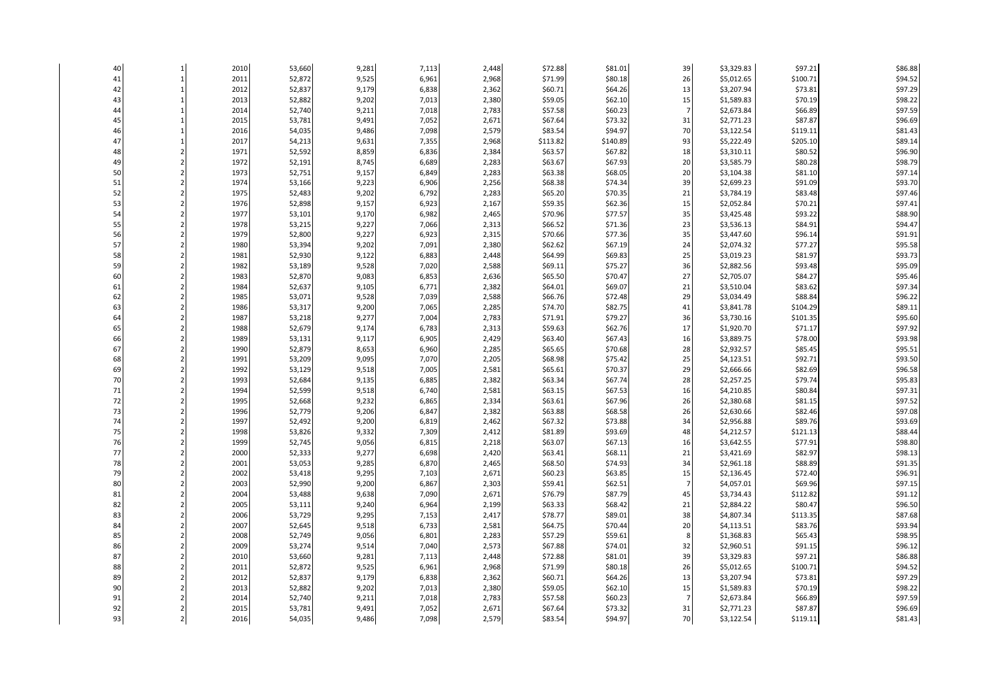| 40       | $\mathbf{1}$                     | 2010         | 53,660           | 9,281          | 7,113          | 2,448          | \$72.88            | \$81.01            | 39             | \$3,329.83               | \$97.21            | \$86.88            |
|----------|----------------------------------|--------------|------------------|----------------|----------------|----------------|--------------------|--------------------|----------------|--------------------------|--------------------|--------------------|
| 41       | $\mathbf{1}$                     | 2011         | 52,872           | 9,525          | 6,961          | 2,968          | \$71.99            | \$80.18            | 26             | \$5,012.65               | \$100.71           | \$94.52            |
| 42       | $\mathbf{1}$                     | 2012         | 52,837           | 9,179          | 6,838          | 2,362          | \$60.71            | \$64.26            | 13             | \$3,207.94               | \$73.81            | \$97.29            |
| 43       | $\mathbf{1}$                     | 2013         | 52,882           | 9,202          | 7,013          | 2,380          | \$59.05            | \$62.10            | 15             | \$1,589.83               | \$70.19            | \$98.22            |
| 44       | $\mathbf{1}$                     | 2014         | 52,740           | 9,211          | 7,018          | 2,783          | \$57.58            | \$60.23            | $\overline{7}$ | \$2,673.84               | \$66.89            | \$97.59            |
| 45       | $\mathbf{1}$                     | 2015         | 53,781           | 9,491          | 7,052          | 2,671          | \$67.64            | \$73.32            | 31             | \$2,771.23               | \$87.87            | \$96.69            |
| 46       | $\mathbf{1}$                     | 2016         | 54,035           | 9,486          | 7,098          | 2,579          | \$83.54            | \$94.97            | 70             | \$3,122.54               | \$119.11           | \$81.43            |
| 47       | $\mathbf{1}$                     | 2017         | 54,213           | 9,631          | 7,355          | 2,968          | \$113.82           | \$140.89           | 93             | \$5,222.49               | \$205.10           | \$89.14            |
| 48       | $\overline{2}$                   | 1971         | 52,592           | 8,859          | 6,836          | 2,384          | \$63.57            | \$67.82            | 18             | \$3,310.11               | \$80.52            | \$96.90            |
| 49       | $\overline{2}$                   | 1972         | 52,191           | 8,745          | 6,689          | 2,283          | \$63.67            | \$67.93            | 20             | \$3,585.79               | \$80.28            | \$98.79            |
| 50       | $\overline{2}$                   | 1973         | 52,751           | 9,157          | 6,849          | 2,283          | \$63.38            | \$68.05            | 20             | \$3,104.38               | \$81.10            | \$97.14            |
| 51       | $\overline{2}$                   | 1974         | 53,166           | 9,223          | 6,906          | 2,256          | \$68.38            | \$74.34            | 39             | \$2,699.23               | \$91.09            | \$93.70            |
| 52       | $\overline{2}$                   | 1975         | 52,483           | 9,202          | 6,792          | 2,283          | \$65.20            | \$70.35            | 21             | \$3,784.19               | \$83.48            | \$97.46            |
| 53       | $\overline{2}$                   | 1976         | 52,898           | 9,157          | 6,923          | 2,167          | \$59.35            | \$62.36            | 15             | \$2,052.84               | \$70.21            | \$97.41            |
| 54       | $\overline{2}$                   | 1977         | 53,101           | 9,170          | 6,982          | 2,465          | \$70.96            | \$77.57            | 35             | \$3,425.48               | \$93.22            | \$88.90            |
| 55       | $\overline{2}$                   | 1978         | 53,215           | 9,227          | 7,066          | 2,313          | \$66.52            | \$71.36            | 23             | \$3,536.13               | \$84.91            | \$94.47            |
| 56       | $\overline{2}$                   | 1979         | 52,800           | 9,227          | 6,923          | 2,315          | \$70.66            | \$77.36            | 35             | \$3,447.60               | \$96.14            | \$91.91            |
| 57       | $\overline{2}$                   | 1980         | 53,394           | 9,202          | 7,091          | 2,380          | \$62.62            | \$67.19            | 24             | \$2,074.32               | \$77.27            | \$95.58            |
| 58       | $\overline{2}$                   | 1981         | 52,930           | 9,122          | 6,883          | 2,448          | \$64.99            | \$69.83            | 25             | \$3,019.23               | \$81.97            | \$93.73            |
| 59       | $\overline{2}$                   | 1982         | 53,189           | 9,528          | 7,020          | 2,588          | \$69.11            | \$75.27            | 36             | \$2,882.56               | \$93.48            | \$95.09            |
| 60       | $\overline{2}$                   | 1983         | 52,870           | 9,083          | 6,853          | 2,636          | \$65.50            | \$70.47            | 27             | \$2,705.07               | \$84.27            | \$95.46            |
| 61       | $\overline{2}$                   | 1984         | 52,637           | 9,105          | 6,771          | 2,382          | \$64.01            | \$69.07            | 21             | \$3,510.04               | \$83.62            | \$97.34            |
| 62       | $\overline{2}$                   | 1985         | 53,071           | 9,528          | 7,039          | 2,588          | \$66.76            | \$72.48            | 29             | \$3,034.49               | \$88.84            | \$96.22            |
| 63       | $\overline{2}$                   | 1986         | 53,317           | 9,200          | 7,065          | 2,285          | \$74.70            | \$82.75            | 41             | \$3,841.78               | \$104.29           | \$89.11            |
| 64       | $\overline{2}$                   | 1987         | 53,218           | 9,277          | 7,004          | 2,783          | \$71.91            | \$79.27            | 36             | \$3,730.16               | \$101.35           | \$95.60            |
| 65       | $\overline{2}$                   | 1988         | 52,679           | 9,174          | 6,783          | 2,313          | \$59.63            | \$62.76            | 17             | \$1,920.70               | \$71.17            | \$97.92            |
| 66       | $\overline{2}$                   | 1989         | 53,131           | 9,117          | 6,905          | 2,429          | \$63.40            | \$67.43            | 16             | \$3,889.75               | \$78.00            | \$93.98            |
| 67       | $\overline{2}$                   | 1990         | 52,879           | 8,653          | 6,960          | 2,285          | \$65.65            | \$70.68            | 28             | \$2,932.57               | \$85.45            | \$95.51            |
| 68       | $\overline{2}$                   | 1991         | 53,209           | 9,095          | 7,070          | 2,205          | \$68.98            | \$75.42            | 25             | \$4,123.51               | \$92.71            | \$93.50            |
| 69       | $\overline{2}$                   | 1992         | 53,129           | 9,518          | 7,005          | 2,581          | \$65.61            | \$70.37            | 29             | \$2,666.66               | \$82.69            | \$96.58            |
| 70       | $\overline{2}$                   | 1993         | 52,684           | 9,135          | 6,885          | 2,382          | \$63.34            | \$67.74            | 28             | \$2,257.25               | \$79.74            | \$95.83            |
| 71       | $\overline{2}$                   | 1994         | 52,599           | 9,518          | 6,740          | 2,581          | \$63.15            | \$67.53            | 16             | \$4,210.85               | \$80.84            | \$97.31            |
| $72\,$   | $\overline{2}$                   | 1995         | 52,668           | 9,232          | 6,865          | 2,334          | \$63.61            | \$67.96            | 26             | \$2,380.68               | \$81.15            | \$97.52            |
| 73       | $\overline{2}$                   | 1996         | 52,779           | 9,206          | 6,847          | 2,382          | \$63.88            | \$68.58            | 26             | \$2,630.66               | \$82.46            | \$97.08            |
| 74       | $\overline{2}$                   | 1997         | 52,492           | 9,200          | 6,819          | 2,462          | \$67.32            | \$73.88            | 34             | \$2,956.88               | \$89.76            | \$93.69            |
| 75       | $\overline{2}$                   | 1998         | 53,826           | 9,332          | 7,309          | 2,412          | \$81.89            | \$93.69            | 48             | \$4,212.57               | \$121.13           | \$88.44            |
| 76       | $\overline{2}$                   | 1999         | 52,745           | 9,056          | 6,815          | 2,218          | \$63.07            | \$67.13            | 16             | \$3,642.55               | \$77.91            | \$98.80            |
| 77       | $\overline{2}$                   | 2000         | 52,333           | 9,277          | 6,698          | 2,420          | \$63.41            | \$68.11            | 21             | \$3,421.69               | \$82.97            | \$98.13            |
| 78       | $\overline{2}$                   | 2001         | 53,053           | 9,285          | 6,870          | 2,465          | \$68.50            | \$74.93            | 34             | \$2,961.18               | \$88.89            | \$91.35            |
| 79       | $\overline{2}$                   | 2002         | 53,418           | 9,295          | 7,103          | 2,671          | \$60.23            | \$63.85            | 15             | \$2,136.45               | \$72.40            | \$96.91            |
| 80       | $\overline{2}$                   | 2003         | 52,990           | 9,200          | 6,867          | 2,303          | \$59.41            | \$62.51            | $\overline{7}$ | \$4,057.01               | \$69.96            | \$97.15            |
| 81       | $\overline{2}$                   | 2004         | 53,488           | 9,638          | 7,090          | 2,671          | \$76.79            | \$87.79            | 45             | \$3,734.43               | \$112.82           | \$91.12            |
| 82       | $\overline{2}$                   | 2005         | 53,111           | 9,240          | 6,964          | 2,199          | \$63.33            | \$68.42            | 21             | \$2,884.22               | \$80.47            | \$96.50            |
| 83<br>84 | $\overline{2}$                   | 2006         | 53,729           | 9,295          | 7,153          | 2,417          | \$78.77            | \$89.01            | 38             | \$4,807.34               | \$113.35           | \$87.68            |
| 85       | $\overline{2}$<br>$\overline{2}$ | 2007<br>2008 | 52,645           | 9,518          | 6,733          | 2,581          | \$64.75            | \$70.44            | 20<br>8        | \$4,113.51               | \$83.76            | \$93.94<br>\$98.95 |
|          |                                  |              | 52,749           | 9,056          | 6,801          | 2,283          | \$57.29            | \$59.61            |                | \$1,368.83               | \$65.43            |                    |
| 86<br>87 | $\overline{2}$<br>$\overline{2}$ | 2009<br>2010 | 53,274           | 9,514<br>9,281 | 7,040<br>7,113 | 2,573<br>2,448 | \$67.88<br>\$72.88 | \$74.01<br>\$81.01 | 32<br>39       | \$2,960.51<br>\$3,329.83 | \$91.15<br>\$97.21 | \$96.12<br>\$86.88 |
| 88       | $\overline{2}$                   | 2011         | 53,660<br>52,872 |                | 6,961          | 2,968          | \$71.99            | \$80.18            | 26             | \$5,012.65               | \$100.71           | \$94.52            |
| 89       | $\overline{2}$                   |              |                  | 9,525          |                |                | \$60.71            |                    |                |                          |                    |                    |
| 90       | $\overline{2}$                   | 2012         | 52,837           | 9,179          | 6,838          | 2,362          |                    | \$64.26            | 13             | \$3,207.94               | \$73.81            | \$97.29<br>\$98.22 |
| 91       | $\overline{2}$                   | 2013<br>2014 | 52,882<br>52,740 | 9,202          | 7,013<br>7,018 | 2,380<br>2,783 | \$59.05<br>\$57.58 | \$62.10<br>\$60.23 | 15             | \$1,589.83               | \$70.19<br>\$66.89 | \$97.59            |
| 92       |                                  | 2015         |                  | 9,211<br>9,491 | 7,052          | 2,671          | \$67.64            | \$73.32            | 31             | \$2,673.84               | \$87.87            | \$96.69            |
| 93       | $\overline{2}$                   | 2016         | 53,781<br>54,035 | 9,486          | 7,098          | 2,579          | \$83.54            | \$94.97            | 70             | \$2,771.23<br>\$3,122.54 | \$119.11           | \$81.43            |
|          |                                  |              |                  |                |                |                |                    |                    |                |                          |                    |                    |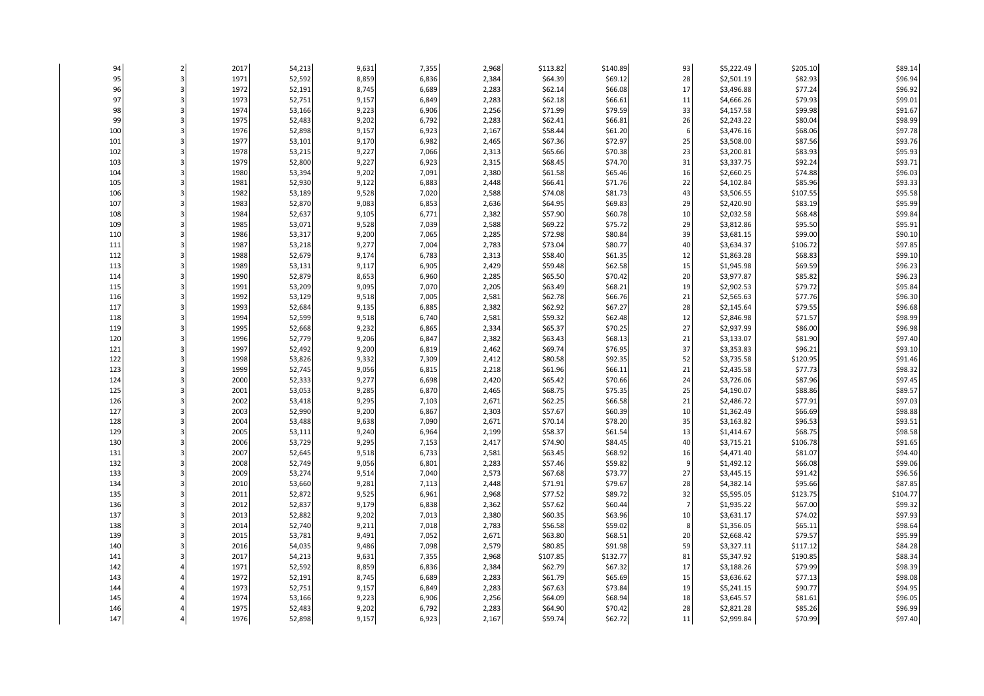| 94         |   | 2017         | 54,213           | 9,631          | 7,355          | 2,968          | \$113.82            | \$140.89            | 93                   | \$5,222.49               | \$205.10             | \$89.14            |
|------------|---|--------------|------------------|----------------|----------------|----------------|---------------------|---------------------|----------------------|--------------------------|----------------------|--------------------|
| 95         | 3 | 1971         | 52,592           | 8,859          | 6,836          | 2,384          | \$64.39             | \$69.12             | 28                   | \$2,501.19               | \$82.93              | \$96.94            |
| 96         |   | 1972         | 52,191           | 8,745          | 6,689          | 2,283          | \$62.14             | \$66.08             | 17                   | \$3,496.88               | \$77.24              | \$96.92            |
| 97         |   | 1973         | 52,751           | 9,157          | 6,849          | 2,283          | \$62.18             | \$66.61             | 11                   | \$4,666.26               | \$79.93              | \$99.01            |
| 98         |   | 1974         | 53,166           | 9,223          | 6,906          | 2,256          | \$71.99             | \$79.59             | 33                   | \$4,157.58               | \$99.98              | \$91.67            |
| 99         |   | 1975         | 52,483           | 9,202          | 6,792          | 2,283          | \$62.41             | \$66.81             | 26                   | \$2,243.22               | \$80.04              | \$98.99            |
| 100        |   | 1976         | 52,898           | 9,157          | 6,923          | 2,167          | \$58.44             | \$61.20             | 6                    | \$3,476.16               | \$68.06              | \$97.78            |
| 101        |   | 1977         | 53,101           | 9,170          | 6,982          | 2,465          | \$67.36             | \$72.97             | 25                   | \$3,508.00               | \$87.56              | \$93.76            |
| 102        |   | 1978         | 53,215           | 9,227          | 7,066          | 2,313          | \$65.66             | \$70.38             | 23                   | \$3,200.81               | \$83.93              | \$95.93            |
| 103        |   | 1979         | 52,800           | 9,227          | 6,923          | 2,315          | \$68.45             | \$74.70             | 31                   | \$3,337.75               | \$92.24              | \$93.71            |
| 104        |   | 1980         | 53,394           | 9,202          | 7,091          | 2,380          | \$61.58             | \$65.46             | 16                   | \$2,660.25               | \$74.88              | \$96.03            |
| 105        |   | 1981         | 52,930           | 9,122          | 6,883          | 2,448          | \$66.41             | \$71.76             | 22                   | \$4,102.84               | \$85.96              | \$93.33            |
| 106        |   | 1982         | 53,189           | 9,528          | 7,020          | 2,588          | \$74.08             | \$81.73             | 43                   | \$3,506.55               | \$107.55             | \$95.58            |
| 107        |   | 1983         | 52,870           | 9,083          | 6,853          | 2,636          | \$64.95             | \$69.83             | 29                   | \$2,420.90               | \$83.19              | \$95.99            |
| 108        |   | 1984         | 52,637           | 9,105          | 6,771          | 2,382          | \$57.90             | \$60.78             | 10                   | \$2,032.58               | \$68.48              | \$99.84            |
| 109        |   | 1985         | 53,071           | 9,528          | 7,039          | 2,588          | \$69.22             | \$75.72             | 29                   | \$3,812.86               | \$95.50              | \$95.91            |
| 110        |   | 1986         | 53,317           | 9,200          | 7,065          | 2,285          | \$72.98             | \$80.84             | 39                   | \$3,681.15               | \$99.00              | \$90.10            |
| 111        |   | 1987         | 53,218           | 9,277          | 7,004          | 2,783          | \$73.04             | \$80.77             | 40                   | \$3,634.37               | \$106.72             | \$97.85            |
| 112        |   | 1988         | 52,679           | 9,174          | 6,783          | 2,313          | \$58.40             | \$61.35             | 12                   | \$1,863.28               | \$68.83              | \$99.10            |
| 113        |   | 1989         | 53,131           | 9,117          | 6,905          | 2,429          | \$59.48             | \$62.58             | 15                   | \$1,945.98               | \$69.59              | \$96.23            |
| 114        |   | 1990         | 52,879           | 8,653          | 6,960          | 2,285          | \$65.50             | \$70.42             | 20                   | \$3,977.87               | \$85.82              | \$96.23            |
| 115        |   | 1991         | 53,209           | 9,095          | 7,070          | 2,205          | \$63.49             | \$68.21             | 19                   | \$2,902.53               | \$79.72              | \$95.84            |
| 116        |   | 1992         | 53,129           | 9,518          | 7,005          | 2,581          | \$62.78             | \$66.76             | 21                   | \$2,565.63               | \$77.76              | \$96.30            |
| 117        |   | 1993         | 52,684           | 9,135          | 6,885          | 2,382          | \$62.92             | \$67.27             | 28                   | \$2,145.64               | \$79.55              | \$96.68            |
| 118        |   | 1994         | 52,599           | 9,518          | 6,740          | 2,581          | \$59.32             | \$62.48             | 12                   | \$2,846.98               | \$71.57              | \$98.99            |
| 119        |   | 1995         | 52,668           | 9,232          | 6,865          | 2,334          | \$65.37             | \$70.25             | 27                   | \$2,937.99               | \$86.00              | \$96.98            |
| 120        |   | 1996         | 52,779           | 9,206          | 6,847          | 2,382          | \$63.43             | \$68.13             | 21                   | \$3,133.07               | \$81.90              | \$97.40            |
| 121        |   | 1997         | 52,492           | 9,200          | 6,819          | 2,462          | \$69.74             | \$76.95             | 37                   | \$3,353.83               | \$96.21              | \$93.10            |
| 122        |   | 1998         | 53,826           | 9,332          | 7,309          | 2,412          | \$80.58             | \$92.35             | 52                   | \$3,735.58               | \$120.95             | \$91.46            |
| 123        |   | 1999         | 52,745           | 9,056          | 6,815          | 2,218          | \$61.96             | \$66.11             | 21                   | \$2,435.58               | \$77.73              | \$98.32            |
| 124        |   | 2000         | 52,333           | 9,277          | 6,698          | 2,420          | \$65.42             | \$70.66             | 24                   | \$3,726.06               | \$87.96              | \$97.45            |
| 125        |   | 2001         | 53,053           | 9,285          | 6,870          | 2,465          | \$68.75             | \$75.35             | 25                   | \$4,190.07               | \$88.86              | \$89.57            |
| 126        |   | 2002         | 53,418           | 9,295          | 7,103          | 2,671          | \$62.25             | \$66.58             | 21                   | \$2,486.72               | \$77.91              | \$97.03            |
| 127        |   | 2003         | 52,990           | 9,200          | 6,867          | 2,303          | \$57.67             | \$60.39             | 10                   | \$1,362.49               | \$66.69              | \$98.88            |
| 128        |   | 2004         | 53,488           | 9,638          | 7,090          | 2,671          | \$70.14             | \$78.20             | 35                   | \$3,163.82               | \$96.53              | \$93.51            |
| 129        |   | 2005         | 53,111           | 9,240          | 6,964          | 2,199          | \$58.37             | \$61.54             | 13                   | \$1,414.67               | \$68.75              | \$98.58            |
| 130        |   | 2006         | 53,729           | 9,295          | 7,153          | 2,417          | \$74.90             | \$84.45             | 40                   | \$3,715.21               | \$106.78             | \$91.65            |
| 131        |   | 2007         | 52,645           | 9,518          | 6,733          | 2,581          | \$63.45             | \$68.92             | 16                   | \$4,471.40               | \$81.07              | \$94.40            |
| 132        |   | 2008         | 52,749           | 9,056          | 6,801          | 2,283          | \$57.46             | \$59.82             | 9                    | \$1,492.12               | \$66.08              | \$99.06            |
| 133        |   | 2009         | 53,274           | 9,514          | 7,040          | 2,573          | \$67.68             | \$73.77             | 27                   | \$3,445.15               | \$91.42              | \$96.56            |
| 134        |   | 2010         | 53,660           | 9,281          | 7,113          | 2,448          | \$71.91             | \$79.67             | 28                   | \$4,382.14               | \$95.66              | \$87.85            |
| 135        |   | 2011         | 52,872           | 9,525          | 6,961          | 2,968          | \$77.52             | \$89.72             | 32<br>$\overline{7}$ | \$5,595.05               | \$123.75             | \$104.77           |
| 136        |   | 2012         | 52,837           | 9,179          | 6,838          | 2,362          | \$57.62             | \$60.44             |                      | \$1,935.22               | \$67.00              | \$99.32            |
| 137        |   | 2013         | 52,882           | 9,202          | 7,013          | 2,380          | \$60.35             | \$63.96             | 10                   | \$3,631.17               | \$74.02              | \$97.93            |
| 138        |   | 2014         | 52,740           | 9,211          | 7,018          | 2,783          | \$56.58             | \$59.02             | 8                    | \$1,356.05               | \$65.11              | \$98.64            |
| 139        |   | 2015         | 53,781           | 9,491          | 7,052          | 2,671          | \$63.80             | \$68.51             | 20                   | \$2,668.42               | \$79.57              | \$95.99            |
| 140<br>141 |   | 2016<br>2017 | 54,035<br>54,213 | 9,486<br>9,631 | 7,098<br>7,355 | 2,579<br>2,968 | \$80.85<br>\$107.85 | \$91.98<br>\$132.77 | 59<br>81             | \$3,327.11<br>\$5,347.92 | \$117.12<br>\$190.85 | \$84.28<br>\$88.34 |
| 142        |   | 1971         | 52,592           | 8,859          | 6,836          | 2,384          | \$62.79             | \$67.32             | 17                   | \$3,188.26               | \$79.99              | \$98.39            |
| 143        |   | 1972         | 52,191           | 8,745          | 6,689          | 2,283          | \$61.79             | \$65.69             | 15                   | \$3,636.62               | \$77.13              | \$98.08            |
| 144        |   | 1973         | 52,751           | 9,157          | 6,849          | 2,283          | \$67.63             |                     | 19                   | \$5,241.15               | \$90.77              |                    |
| 145        |   | 1974         | 53,166           | 9,223          | 6,906          | 2,256          | \$64.09             | \$73.84<br>\$68.94  | 18                   | \$3,645.57               | \$81.61              | \$94.95<br>\$96.05 |
| 146        |   | 1975         | 52,483           | 9,202          | 6,792          | 2,283          | \$64.90             | \$70.42             | 28                   | \$2,821.28               | \$85.26              | \$96.99            |
| 147        |   | 1976         | 52,898           | 9,157          | 6,923          | 2,167          | \$59.74             | \$62.72             | 11                   | \$2,999.84               | \$70.99              | \$97.40            |
|            |   |              |                  |                |                |                |                     |                     |                      |                          |                      |                    |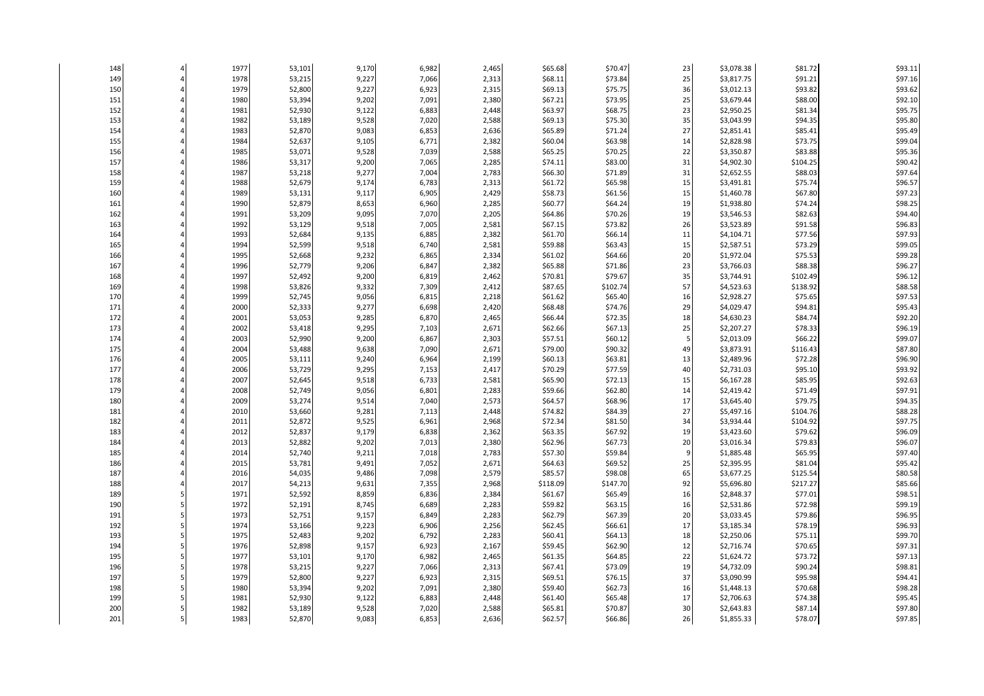| 148 | 1977 | 53,101 | 9,170 | 6,982 | 2,465 | \$65.68  | \$70.47  | 23 | \$3,078.38 | \$81.72  | \$93.11 |
|-----|------|--------|-------|-------|-------|----------|----------|----|------------|----------|---------|
| 149 | 1978 | 53,215 | 9,227 | 7,066 | 2,313 | \$68.11  | \$73.84  | 25 | \$3,817.75 | \$91.21  | \$97.16 |
| 150 | 1979 | 52,800 | 9,227 | 6,923 | 2,315 | \$69.13  | \$75.75  | 36 | \$3,012.13 | \$93.82  | \$93.62 |
| 151 | 1980 | 53,394 | 9,202 | 7,091 | 2,380 | \$67.21  | \$73.95  | 25 | \$3,679.44 | \$88.00  | \$92.10 |
| 152 | 1981 | 52,930 | 9,122 | 6,883 | 2,448 | \$63.97  | \$68.75  | 23 | \$2,950.25 | \$81.34  | \$95.75 |
| 153 | 1982 | 53,189 | 9,528 | 7,020 | 2,588 | \$69.13  | \$75.30  | 35 | \$3,043.99 | \$94.35  | \$95.80 |
| 154 | 1983 | 52,870 | 9,083 | 6,853 | 2,636 | \$65.89  | \$71.24  | 27 | \$2,851.41 | \$85.41  | \$95.49 |
| 155 | 1984 | 52,637 | 9,105 | 6,771 | 2,382 | \$60.04  | \$63.98  | 14 | \$2,828.98 | \$73.75  | \$99.04 |
| 156 | 1985 | 53,071 | 9,528 | 7,039 | 2,588 | \$65.25  | \$70.25  | 22 | \$3,350.87 | \$83.88  | \$95.36 |
| 157 | 1986 | 53,317 | 9,200 | 7,065 | 2,285 | \$74.11  | \$83.00  | 31 | \$4,902.30 | \$104.25 | \$90.42 |
| 158 | 1987 | 53,218 | 9,277 | 7,004 | 2,783 | \$66.30  | \$71.89  | 31 | \$2,652.55 | \$88.03  | \$97.64 |
| 159 | 1988 | 52,679 | 9,174 | 6,783 | 2,313 | \$61.72  | \$65.98  | 15 | \$3,491.81 | \$75.74  | \$96.57 |
| 160 | 1989 | 53,131 | 9,117 | 6,905 | 2,429 | \$58.73  | \$61.56  | 15 | \$1,460.78 | \$67.80  | \$97.23 |
| 161 | 1990 | 52,879 | 8,653 | 6,960 | 2,285 | \$60.77  | \$64.24  | 19 | \$1,938.80 | \$74.24  | \$98.25 |
| 162 | 1991 | 53,209 | 9,095 | 7,070 | 2,205 | \$64.86  | \$70.26  | 19 | \$3,546.53 | \$82.63  | \$94.40 |
| 163 | 1992 | 53,129 | 9,518 | 7,005 | 2,581 | \$67.15  | \$73.82  | 26 | \$3,523.89 | \$91.58  | \$96.83 |
| 164 | 1993 | 52,684 | 9,135 | 6,885 | 2,382 | \$61.70  | \$66.14  | 11 | \$4,104.71 | \$77.56  | \$97.93 |
| 165 | 1994 | 52,599 | 9,518 | 6,740 | 2,581 | \$59.88  | \$63.43  | 15 | \$2,587.51 | \$73.29  | \$99.05 |
| 166 | 1995 | 52,668 | 9,232 | 6,865 | 2,334 | \$61.02  | \$64.66  | 20 | \$1,972.04 | \$75.53  | \$99.28 |
| 167 | 1996 | 52,779 | 9,206 | 6,847 | 2,382 | \$65.88  | \$71.86  | 23 | \$3,766.03 | \$88.38  | \$96.27 |
| 168 | 1997 | 52,492 | 9,200 | 6,819 | 2,462 | \$70.81  | \$79.67  | 35 | \$3,744.91 | \$102.49 | \$96.12 |
| 169 | 1998 | 53,826 | 9,332 | 7,309 | 2,412 | \$87.65  | \$102.74 | 57 | \$4,523.63 | \$138.92 | \$88.58 |
| 170 | 1999 | 52,745 | 9,056 | 6,815 | 2,218 | \$61.62  | \$65.40  | 16 | \$2,928.27 | \$75.65  | \$97.53 |
| 171 | 2000 | 52,333 | 9,277 | 6,698 | 2,420 | \$68.48  | \$74.76  | 29 | \$4,029.47 | \$94.81  | \$95.43 |
| 172 | 2001 | 53,053 | 9,285 | 6,870 | 2,465 | \$66.44  | \$72.35  | 18 | \$4,630.23 | \$84.74  | \$92.20 |
| 173 | 2002 | 53,418 | 9,295 | 7,103 | 2,671 | \$62.66  | \$67.13  | 25 | \$2,207.27 | \$78.33  | \$96.19 |
| 174 | 2003 | 52,990 | 9,200 | 6,867 | 2,303 | \$57.51  | \$60.12  | 5  | \$2,013.09 | \$66.22  | \$99.07 |
| 175 | 2004 | 53,488 | 9,638 | 7,090 | 2,671 | \$79.00  | \$90.32  | 49 | \$3,873.91 | \$116.43 | \$87.80 |
| 176 | 2005 | 53,111 | 9,240 | 6,964 | 2,199 | \$60.13  | \$63.81  | 13 | \$2,489.96 | \$72.28  | \$96.90 |
| 177 | 2006 | 53,729 | 9,295 | 7,153 | 2,417 | \$70.29  | \$77.59  | 40 | \$2,731.03 | \$95.10  | \$93.92 |
| 178 | 2007 | 52,645 | 9,518 | 6,733 | 2,581 | \$65.90  | \$72.13  | 15 | \$6,167.28 | \$85.95  | \$92.63 |
| 179 | 2008 | 52,749 | 9,056 | 6,801 | 2,283 | \$59.66  | \$62.80  | 14 | \$2,419.42 | \$71.49  | \$97.91 |
| 180 | 2009 | 53,274 | 9,514 | 7,040 | 2,573 | \$64.57  | \$68.96  | 17 | \$3,645.40 | \$79.75  | \$94.35 |
| 181 | 2010 | 53,660 | 9,281 | 7,113 | 2,448 | \$74.82  | \$84.39  | 27 | \$5,497.16 | \$104.76 | \$88.28 |
| 182 | 2011 | 52,872 | 9,525 | 6,961 | 2,968 | \$72.34  | \$81.50  | 34 | \$3,934.44 | \$104.92 | \$97.75 |
| 183 | 2012 | 52,837 | 9,179 | 6,838 | 2,362 | \$63.35  | \$67.92  | 19 | \$3,423.60 | \$79.62  | \$96.09 |
| 184 | 2013 | 52,882 | 9,202 | 7,013 | 2,380 | \$62.96  | \$67.73  | 20 | \$3,016.34 | \$79.83  | \$96.07 |
| 185 | 2014 | 52,740 | 9,211 | 7,018 | 2,783 | \$57.30  | \$59.84  | g  | \$1,885.48 | \$65.95  | \$97.40 |
| 186 | 2015 | 53,781 | 9,491 | 7,052 | 2,671 | \$64.63  | \$69.52  | 25 | \$2,395.95 | \$81.04  | \$95.42 |
| 187 | 2016 | 54,035 | 9,486 | 7,098 | 2,579 | \$85.57  | \$98.08  | 65 | \$3,677.25 | \$125.54 | \$80.58 |
| 188 | 2017 | 54,213 | 9,631 | 7,355 | 2,968 | \$118.09 | \$147.70 | 92 | \$5,696.80 | \$217.27 | \$85.66 |
| 189 | 1971 | 52,592 | 8,859 | 6,836 | 2,384 | \$61.67  | \$65.49  | 16 | \$2,848.37 | \$77.01  | \$98.51 |
| 190 | 1972 | 52,191 | 8,745 | 6,689 | 2,283 | \$59.82  | \$63.15  | 16 | \$2,531.86 | \$72.98  | \$99.19 |
| 191 | 1973 | 52,751 | 9,157 | 6,849 | 2,283 | \$62.79  | \$67.39  | 20 | \$3,033.45 | \$79.86  | \$96.95 |
| 192 | 1974 | 53,166 | 9,223 | 6,906 | 2,256 | \$62.45  | \$66.61  | 17 | \$3,185.34 | \$78.19  | \$96.93 |
| 193 | 1975 | 52,483 | 9,202 | 6,792 | 2,283 | \$60.41  | \$64.13  | 18 | \$2,250.06 | \$75.11  | \$99.70 |
| 194 | 1976 | 52,898 | 9,157 | 6,923 | 2,167 | \$59.45  | \$62.90  | 12 | \$2,716.74 | \$70.65  | \$97.31 |
| 195 | 1977 | 53,101 | 9,170 | 6,982 | 2,465 | \$61.35  | \$64.85  | 22 | \$1,624.72 | \$73.72  | \$97.13 |
| 196 | 1978 | 53,215 | 9,227 | 7,066 | 2,313 | \$67.41  | \$73.09  | 19 | \$4,732.09 | \$90.24  | \$98.81 |
| 197 | 1979 | 52,800 | 9,227 | 6,923 | 2,315 | \$69.51  | \$76.15  | 37 | \$3,090.99 | \$95.98  | \$94.41 |
| 198 | 1980 | 53,394 | 9,202 | 7,091 | 2,380 | \$59.40  | \$62.73  | 16 | \$1,448.13 | \$70.68  | \$98.28 |
| 199 | 1981 | 52,930 | 9,122 | 6,883 | 2,448 | \$61.40  | \$65.48  | 17 | \$2,706.63 | \$74.38  | \$95.45 |
| 200 | 1982 | 53,189 | 9,528 | 7,020 | 2,588 | \$65.81  | \$70.87  | 30 | \$2,643.83 | \$87.14  | \$97.80 |
| 201 | 1983 | 52,870 | 9,083 | 6,853 | 2,636 | \$62.57  | \$66.86  | 26 | \$1,855.33 | \$78.07  | \$97.85 |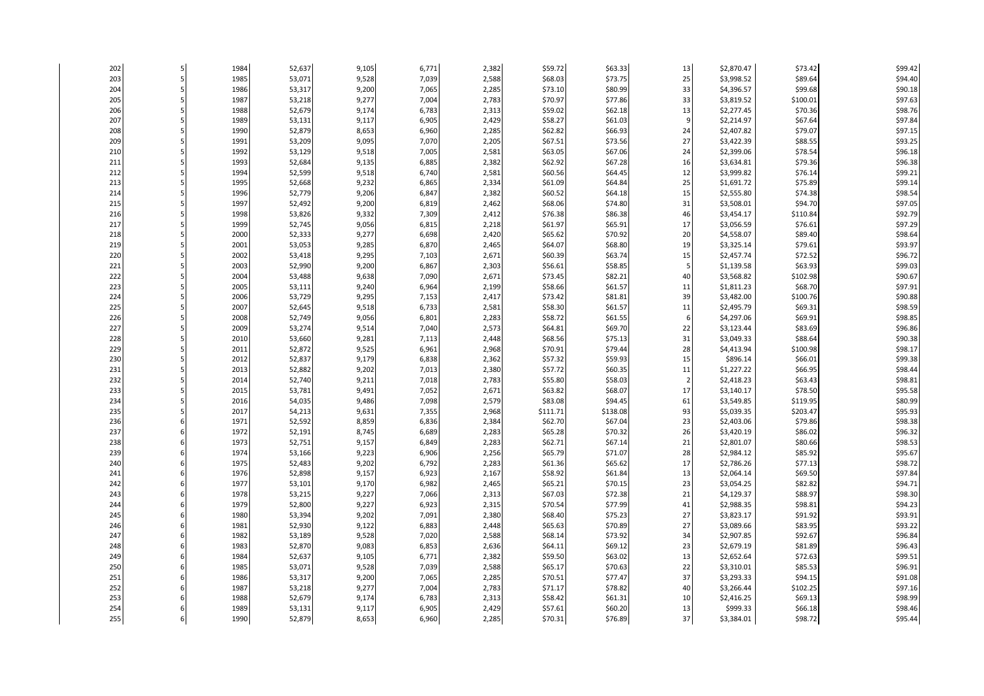| 202 |   | 1984 | 52,637 | 9,105 | 6,771 | 2,382 | \$59.72  | \$63.33  | 13             | \$2,870.47 | \$73.42  | \$99.42 |
|-----|---|------|--------|-------|-------|-------|----------|----------|----------------|------------|----------|---------|
| 203 | 5 | 1985 | 53,071 | 9,528 | 7,039 | 2,588 | \$68.03  | \$73.75  | 25             | \$3,998.52 | \$89.64  | \$94.40 |
| 204 |   | 1986 | 53,317 | 9,200 | 7,065 | 2,285 | \$73.10  | \$80.99  | 33             | \$4,396.57 | \$99.68  | \$90.18 |
| 205 |   | 1987 | 53,218 | 9,277 | 7,004 | 2,783 | \$70.97  | \$77.86  | 33             | \$3,819.52 | \$100.01 | \$97.63 |
| 206 |   | 1988 | 52,679 | 9,174 | 6,783 | 2,313 | \$59.02  | \$62.18  | 13             | \$2,277.45 | \$70.36  | \$98.76 |
| 207 |   | 1989 | 53,131 | 9,117 | 6,905 | 2,429 | \$58.27  | \$61.03  | g              | \$2,214.97 | \$67.64  | \$97.84 |
| 208 |   | 1990 | 52,879 | 8,653 | 6,960 | 2,285 | \$62.82  | \$66.93  | 24             | \$2,407.82 | \$79.07  | \$97.15 |
| 209 |   | 1991 | 53,209 | 9,095 | 7,070 | 2,205 | \$67.51  | \$73.56  | 27             | \$3,422.39 | \$88.55  | \$93.25 |
| 210 |   | 1992 | 53,129 | 9,518 | 7,005 | 2,581 | \$63.05  | \$67.06  | 24             | \$2,399.06 | \$78.54  | \$96.18 |
| 211 |   | 1993 | 52,684 | 9,135 | 6,885 | 2,382 | \$62.92  | \$67.28  | 16             | \$3,634.81 | \$79.36  | \$96.38 |
| 212 |   | 1994 | 52,599 | 9,518 | 6,740 | 2,581 | \$60.56  | \$64.45  | 12             | \$3,999.82 | \$76.14  | \$99.21 |
| 213 |   | 1995 | 52,668 | 9,232 | 6,865 | 2,334 | \$61.09  | \$64.84  | 25             | \$1,691.72 | \$75.89  | \$99.14 |
| 214 |   | 1996 | 52,779 | 9,206 | 6,847 | 2,382 | \$60.52  | \$64.18  | 15             | \$2,555.80 | \$74.38  | \$98.54 |
| 215 |   | 1997 | 52,492 | 9,200 | 6,819 | 2,462 | \$68.06  | \$74.80  | 31             | \$3,508.01 | \$94.70  | \$97.05 |
| 216 |   | 1998 | 53,826 | 9,332 | 7,309 | 2,412 | \$76.38  | \$86.38  | 46             | \$3,454.17 | \$110.84 | \$92.79 |
| 217 |   | 1999 | 52,745 | 9,056 | 6,815 | 2,218 | \$61.97  | \$65.91  | 17             | \$3,056.59 | \$76.61  | \$97.29 |
| 218 |   | 2000 | 52,333 | 9,277 | 6,698 | 2,420 | \$65.62  | \$70.92  | 20             | \$4,558.07 | \$89.40  | \$98.64 |
| 219 |   | 2001 | 53,053 | 9,285 | 6,870 | 2,465 | \$64.07  | \$68.80  | 19             | \$3,325.14 | \$79.61  | \$93.97 |
| 220 |   | 2002 | 53,418 | 9,295 | 7,103 | 2,671 | \$60.39  | \$63.74  | 15             | \$2,457.74 | \$72.52  | \$96.72 |
| 221 |   | 2003 | 52,990 | 9,200 | 6,867 | 2,303 | \$56.61  | \$58.85  | 5              | \$1,139.58 | \$63.93  | \$99.03 |
| 222 |   | 2004 | 53,488 | 9,638 | 7,090 | 2,671 | \$73.45  | \$82.21  | 40             | \$3,568.82 | \$102.98 | \$90.67 |
| 223 |   | 2005 | 53,111 | 9,240 | 6,964 | 2,199 | \$58.66  | \$61.57  | 11             | \$1,811.23 | \$68.70  | \$97.91 |
| 224 |   | 2006 | 53,729 | 9,295 | 7,153 | 2,417 | \$73.42  | \$81.81  | 39             | \$3,482.00 | \$100.76 | \$90.88 |
| 225 |   | 2007 | 52,645 | 9,518 | 6,733 | 2,581 | \$58.30  | \$61.57  | 11             | \$2,495.79 | \$69.31  | \$98.59 |
| 226 |   | 2008 | 52,749 | 9,056 | 6,801 | 2,283 | \$58.72  | \$61.55  | 6              | \$4,297.06 | \$69.91  | \$98.85 |
| 227 |   | 2009 | 53,274 | 9,514 | 7,040 | 2,573 | \$64.81  | \$69.70  | 22             | \$3,123.44 | \$83.69  | \$96.86 |
| 228 |   | 2010 | 53,660 | 9,281 | 7,113 | 2,448 | \$68.56  | \$75.13  | 31             | \$3,049.33 | \$88.64  | \$90.38 |
| 229 |   | 2011 | 52,872 | 9,525 | 6,961 | 2,968 | \$70.91  | \$79.44  | 28             | \$4,413.94 | \$100.98 | \$98.17 |
| 230 |   | 2012 | 52,837 | 9,179 | 6,838 | 2,362 | \$57.32  | \$59.93  | 15             | \$896.14   | \$66.01  | \$99.38 |
| 231 |   | 2013 | 52,882 | 9,202 | 7,013 | 2,380 | \$57.72  | \$60.35  | 11             | \$1,227.22 | \$66.95  | \$98.44 |
| 232 |   | 2014 | 52,740 | 9,211 | 7,018 | 2,783 | \$55.80  | \$58.03  | $\overline{2}$ | \$2,418.23 | \$63.43  | \$98.81 |
| 233 |   | 2015 | 53,781 | 9,491 | 7,052 | 2,671 | \$63.82  | \$68.07  | 17             | \$3,140.17 | \$78.50  | \$95.58 |
| 234 |   | 2016 | 54,035 | 9,486 | 7,098 | 2,579 | \$83.08  | \$94.45  | 61             | \$3,549.85 | \$119.95 | \$80.99 |
| 235 |   | 2017 | 54,213 | 9,631 | 7,355 | 2,968 | \$111.71 | \$138.08 | 93             | \$5,039.35 | \$203.47 | \$95.93 |
| 236 |   | 1971 | 52,592 | 8,859 | 6,836 | 2,384 | \$62.70  | \$67.04  | 23             | \$2,403.06 | \$79.86  | \$98.38 |
| 237 |   | 1972 | 52,191 | 8,745 | 6,689 | 2,283 | \$65.28  | \$70.32  | 26             | \$3,420.19 | \$86.02  | \$96.32 |
| 238 |   | 1973 | 52,751 | 9,157 | 6,849 | 2,283 | \$62.71  | \$67.14  | 21             | \$2,801.07 | \$80.66  | \$98.53 |
| 239 |   | 1974 | 53,166 | 9,223 | 6,906 | 2,256 | \$65.79  | \$71.07  | 28             | \$2,984.12 | \$85.92  | \$95.67 |
| 240 |   | 1975 | 52,483 | 9,202 | 6,792 | 2,283 | \$61.36  | \$65.62  | 17             | \$2,786.26 | \$77.13  | \$98.72 |
| 241 |   | 1976 | 52,898 | 9,157 | 6,923 | 2,167 | \$58.92  | \$61.84  | 13             | \$2,064.14 | \$69.50  | \$97.84 |
| 242 |   | 1977 | 53,101 | 9,170 | 6,982 | 2,465 | \$65.21  | \$70.15  | 23             | \$3,054.25 | \$82.82  | \$94.71 |
| 243 |   | 1978 | 53,215 | 9,227 | 7,066 | 2,313 | \$67.03  | \$72.38  | 21             | \$4,129.37 | \$88.97  | \$98.30 |
| 244 |   | 1979 | 52,800 | 9,227 | 6,923 | 2,315 | \$70.54  | \$77.99  | 41             | \$2,988.35 | \$98.81  | \$94.23 |
| 245 |   | 1980 | 53,394 | 9,202 | 7,091 | 2,380 | \$68.40  | \$75.23  | 27             | \$3,823.17 | \$91.92  | \$93.91 |
| 246 |   | 1981 | 52,930 | 9,122 | 6,883 | 2,448 | \$65.63  | \$70.89  | 27             | \$3,089.66 | \$83.95  | \$93.22 |
| 247 |   | 1982 | 53,189 | 9,528 | 7,020 | 2,588 | \$68.14  | \$73.92  | 34             | \$2,907.85 | \$92.67  | \$96.84 |
| 248 |   | 1983 | 52,870 | 9,083 | 6,853 | 2,636 | \$64.11  | \$69.12  | 23             | \$2,679.19 | \$81.89  | \$96.43 |
| 249 |   | 1984 | 52,637 | 9,105 | 6,771 | 2,382 | \$59.50  | \$63.02  | 13             | \$2,652.64 | \$72.63  | \$99.51 |
| 250 |   | 1985 | 53,071 | 9,528 | 7,039 | 2,588 | \$65.17  | \$70.63  | 22             | \$3,310.01 | \$85.53  | \$96.91 |
| 251 |   | 1986 | 53,317 | 9,200 | 7,065 | 2,285 | \$70.51  | \$77.47  | 37             | \$3,293.33 | \$94.15  | \$91.08 |
| 252 |   | 1987 | 53,218 | 9,277 | 7,004 | 2,783 | \$71.17  | \$78.82  | 40             | \$3,266.44 | \$102.25 | \$97.16 |
| 253 |   | 1988 | 52,679 | 9,174 | 6,783 | 2,313 | \$58.42  | \$61.31  | 10             | \$2,416.25 | \$69.13  | \$98.99 |
| 254 |   | 1989 | 53,131 | 9,117 | 6,905 | 2,429 | \$57.61  | \$60.20  | 13             | \$999.33   | \$66.18  | \$98.46 |
| 255 |   | 1990 | 52,879 | 8,653 | 6,960 | 2,285 | \$70.31  | \$76.89  | 37             | \$3,384.01 | \$98.72  | \$95.44 |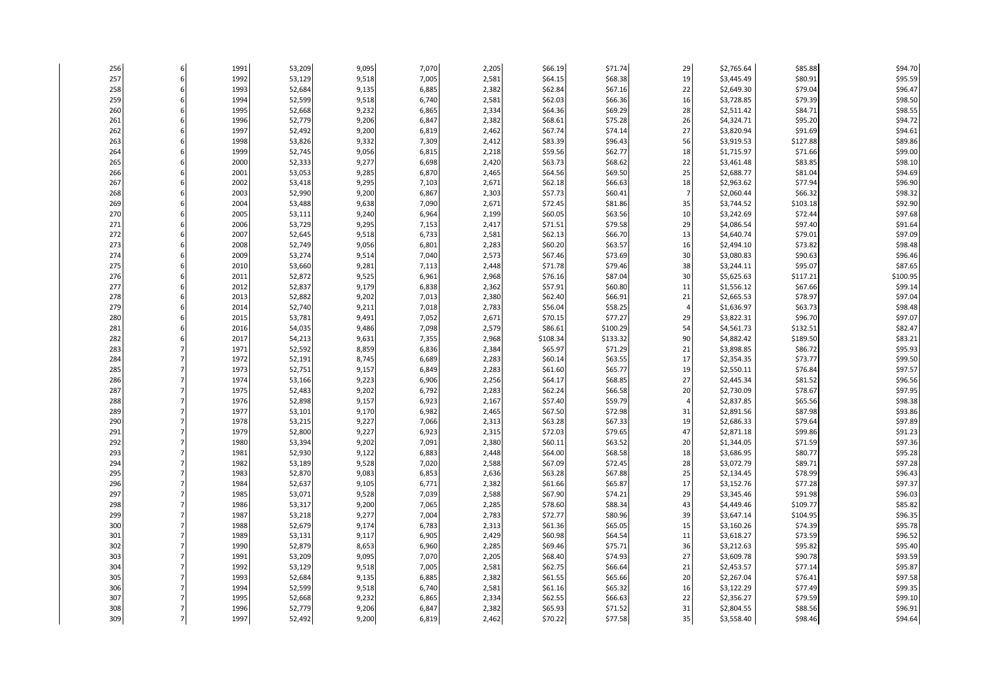| \$68.38<br>\$95.59<br>257<br>1992<br>53,129<br>9,518<br>7,005<br>2,581<br>\$64.15<br>19<br>\$3,445.49<br>\$80.91<br>\$96.47<br>258<br>1993<br>52,684<br>9,135<br>2,382<br>\$62.84<br>\$67.16<br>22<br>\$2,649.30<br>\$79.04<br>6,885<br>259<br>\$98.50<br>1994<br>52,599<br>9,518<br>6,740<br>2,581<br>\$62.03<br>\$66.36<br>16<br>\$3,728.85<br>\$79.39<br>\$98.55<br>260<br>1995<br>52,668<br>9,232<br>6,865<br>2,334<br>\$69.29<br>28<br>\$2,511.42<br>\$84.71<br>\$64.36<br>261<br>26<br>\$94.72<br>1996<br>52,779<br>9,206<br>6,847<br>2,382<br>\$68.61<br>\$75.28<br>\$4,324.71<br>\$95.20<br>\$94.61<br>262<br>1997<br>52,492<br>2,462<br>\$74.14<br>27<br>\$3,820.94<br>9,200<br>6,819<br>\$67.74<br>\$91.69<br>263<br>1998<br>2,412<br>\$96.43<br>56<br>\$3,919.53<br>\$127.88<br>\$89.86<br>53,826<br>9,332<br>7,309<br>\$83.39<br>\$99.00<br>264<br>1999<br>52,745<br>9,056<br>2,218<br>\$59.56<br>\$62.77<br>18<br>\$1,715.97<br>\$71.66<br>6,815<br>265<br>52,333<br>9,277<br>2,420<br>\$68.62<br>22<br>\$83.85<br>\$98.10<br>2000<br>6,698<br>\$63.73<br>\$3,461.48<br>266<br>2,465<br>25<br>\$94.69<br>2001<br>53,053<br>9,285<br>\$69.50<br>\$2,688.77<br>\$81.04<br>6,870<br>\$64.56<br>\$96.90<br>267<br>2002<br>9,295<br>2,671<br>\$66.63<br>18<br>\$2,963.62<br>\$77.94<br>53,418<br>7,103<br>\$62.18<br>\$98.32<br>268<br>2003<br>52,990<br>\$60.41<br>9,200<br>6,867<br>2,303<br>\$57.73<br>\$2,060.44<br>\$66.32<br>269<br>\$92.90<br>2004<br>53,488<br>9,638<br>7,090<br>2,671<br>\$72.45<br>\$81.86<br>35<br>\$3,744.52<br>\$103.18<br>\$97.68<br>270<br>\$63.56<br>2005<br>53,111<br>9,240<br>6,964<br>2,199<br>\$60.05<br>10<br>\$3,242.69<br>\$72.44<br>271<br>2,417<br>\$79.58<br>29<br>\$91.64<br>2006<br>53,729<br>9,295<br>7,153<br>\$71.51<br>\$4,086.54<br>\$97.40<br>\$97.09<br>272<br>52,645<br>9,518<br>2,581<br>\$66.70<br>\$4,640.74<br>2007<br>6,733<br>\$62.13<br>13<br>\$79.01<br>273<br>2008<br>52,749<br>9,056<br>2,283<br>\$63.57<br>\$73.82<br>\$98.48<br>6,801<br>\$60.20<br>16<br>\$2,494.10<br>274<br>2009<br>53,274<br>2,573<br>\$73.69<br>30<br>\$96.46<br>9,514<br>7,040<br>\$67.46<br>\$3,080.83<br>\$90.63<br>\$87.65<br>275<br>\$79.46<br>38<br>\$95.07<br>2010<br>53,660<br>9,281<br>7,113<br>2,448<br>\$71.78<br>\$3,244.11<br>276<br>\$100.95<br>2011<br>52,872<br>9,525<br>6,961<br>2,968<br>\$76.16<br>\$87.04<br>30<br>\$5,625.63<br>\$117.21<br>277<br>2012<br>52,837<br>9,179<br>2,362<br>\$60.80<br>11<br>\$1,556.12<br>\$67.66<br>\$99.14<br>6,838<br>\$57.91<br>\$97.04<br>278<br>2013<br>52,882<br>9,202<br>7,013<br>2,380<br>\$62.40<br>\$66.91<br>21<br>\$2,665.53<br>\$78.97<br>279<br>\$98.48<br>2014<br>52,740<br>9,211<br>2,783<br>\$58.25<br>\$63.73<br>7,018<br>\$56.04<br>4<br>\$1,636.97<br>\$97.07<br>280<br>\$77.27<br>\$3,822.31<br>\$96.70<br>2015<br>53,781<br>9,491<br>7,052<br>2,671<br>\$70.15<br>29<br>2,579<br>54<br>\$82.47<br>281<br>2016<br>54,035<br>9,486<br>7,098<br>\$100.29<br>\$4,561.73<br>\$132.51<br>\$86.61<br>282<br>2017<br>54,213<br>9,631<br>2,968<br>\$133.32<br>90<br>\$4,882.42<br>\$189.50<br>\$83.21<br>7,355<br>\$108.34<br>\$95.93<br>283<br>1971<br>52,592<br>8,859<br>6,836<br>2,384<br>\$65.97<br>\$71.29<br>21<br>\$3,898.85<br>\$86.72<br>\$99.50<br>284<br>1972<br>52,191<br>8,745<br>2,283<br>\$60.14<br>\$63.55<br>17<br>\$2,354.35<br>\$73.77<br>6,689<br>285<br>52,751<br>9,157<br>\$65.77<br>\$2,550.11<br>\$97.57<br>1973<br>6,849<br>2,283<br>\$61.60<br>19<br>\$76.84<br>286<br>2,256<br>27<br>\$96.56<br>1974<br>53,166<br>9,223<br>6,906<br>\$64.17<br>\$68.85<br>\$2,445.34<br>\$81.52<br>287<br>2,283<br>\$66.58<br>20<br>\$97.95<br>1975<br>52,483<br>9,202<br>6,792<br>\$62.24<br>\$2,730.09<br>\$78.67<br>\$98.38<br>288<br>1976<br>52,898<br>9,157<br>6,923<br>2,167<br>\$57.40<br>\$59.79<br>\$2,837.85<br>\$65.56<br>$\overline{4}$<br>\$93.86<br>289<br>1977<br>9,170<br>\$72.98<br>31<br>53,101<br>6,982<br>2,465<br>\$67.50<br>\$2,891.56<br>\$87.98<br>290<br>9,227<br>2,313<br>\$67.33<br>19<br>\$97.89<br>1978<br>53,215<br>7,066<br>\$63.28<br>\$2,686.33<br>\$79.64<br>\$91.23<br>291<br>52,800<br>2,315<br>\$79.65<br>47<br>1979<br>9,227<br>6,923<br>\$72.03<br>\$2,871.18<br>\$99.86<br>\$97.36<br>292<br>1980<br>9,202<br>2,380<br>\$63.52<br>20<br>\$71.59<br>53,394<br>7,091<br>\$60.11<br>\$1,344.05<br>\$68.58<br>\$95.28<br>293<br>1981<br>52,930<br>9,122<br>6,883<br>2,448<br>\$64.00<br>18<br>\$3,686.95<br>\$80.77<br>294<br>1982<br>53,189<br>9,528<br>2,588<br>\$67.09<br>\$72.45<br>28<br>\$3,072.79<br>\$89.71<br>\$97.28<br>7,020<br>295<br>\$67.88<br>25<br>1983<br>52,870<br>9,083<br>6,853<br>2,636<br>\$63.28<br>\$2,134.45<br>\$78.99<br>\$96.43<br>\$97.37<br>296<br>52,637<br>2,382<br>\$65.87<br>17<br>\$77.28<br>1984<br>9,105<br>6,771<br>\$61.66<br>\$3,152.76<br>297<br>2,588<br>\$74.21<br>\$96.03<br>1985<br>53,071<br>9,528<br>7,039<br>\$67.90<br>29<br>\$3,345.46<br>\$91.98<br>\$88.34<br>43<br>\$85.82<br>298<br>1986<br>53,317<br>9,200<br>2,285<br>\$78.60<br>\$4,449.46<br>\$109.77<br>7,065<br>299<br>9,277<br>2,783<br>\$80.96<br>39<br>\$96.35<br>1987<br>53,218<br>7,004<br>\$72.77<br>\$3,647.14<br>\$104.95<br>\$95.78<br>300<br>1988<br>52,679<br>9,174<br>2,313<br>\$65.05<br>15<br>\$74.39<br>6,783<br>\$61.36<br>\$3,160.26<br>\$96.52<br>301<br>9,117<br>2,429<br>\$64.54<br>11<br>\$3,618.27<br>\$73.59<br>1989<br>53,131<br>6,905<br>\$60.98<br>302<br>\$75.71<br>36<br>\$95.40<br>1990<br>52,879<br>8,653<br>2,285<br>\$69.46<br>\$3,212.63<br>\$95.82<br>6,960<br>303<br>1991<br>53,209<br>9,095<br>2,205<br>\$74.93<br>27<br>\$3,609.78<br>\$90.78<br>\$93.59<br>7,070<br>\$68.40<br>2,581<br>\$66.64<br>21<br>\$95.87<br>304<br>1992<br>53,129<br>9,518<br>\$2,453.57<br>\$77.14<br>7,005<br>\$62.75<br>305<br>\$97.58<br>1993<br>52,684<br>9,135<br>6,885<br>2,382<br>\$61.55<br>\$65.66<br>20<br>\$2,267.04<br>\$76.41<br>306<br>2,581<br>\$65.32<br>\$99.35<br>1994<br>52,599<br>9,518<br>6,740<br>\$61.16<br>16<br>\$3,122.29<br>\$77.49<br>307<br>\$99.10<br>1995<br>52,668<br>9,232<br>6,865<br>2,334<br>\$62.55<br>\$66.63<br>22<br>\$2,356.27<br>\$79.59<br>308<br>52,779<br>2,382<br>\$71.52<br>31<br>\$88.56<br>\$96.91<br>1996<br>9,206<br>6,847<br>\$65.93<br>\$2,804.55 | 256 | 1991 | 53,209 | 9,095 | 7,070 | 2,205 | \$66.19 | \$71.74 | 29 | \$2,765.64 | \$85.88 | \$94.70 |
|----------------------------------------------------------------------------------------------------------------------------------------------------------------------------------------------------------------------------------------------------------------------------------------------------------------------------------------------------------------------------------------------------------------------------------------------------------------------------------------------------------------------------------------------------------------------------------------------------------------------------------------------------------------------------------------------------------------------------------------------------------------------------------------------------------------------------------------------------------------------------------------------------------------------------------------------------------------------------------------------------------------------------------------------------------------------------------------------------------------------------------------------------------------------------------------------------------------------------------------------------------------------------------------------------------------------------------------------------------------------------------------------------------------------------------------------------------------------------------------------------------------------------------------------------------------------------------------------------------------------------------------------------------------------------------------------------------------------------------------------------------------------------------------------------------------------------------------------------------------------------------------------------------------------------------------------------------------------------------------------------------------------------------------------------------------------------------------------------------------------------------------------------------------------------------------------------------------------------------------------------------------------------------------------------------------------------------------------------------------------------------------------------------------------------------------------------------------------------------------------------------------------------------------------------------------------------------------------------------------------------------------------------------------------------------------------------------------------------------------------------------------------------------------------------------------------------------------------------------------------------------------------------------------------------------------------------------------------------------------------------------------------------------------------------------------------------------------------------------------------------------------------------------------------------------------------------------------------------------------------------------------------------------------------------------------------------------------------------------------------------------------------------------------------------------------------------------------------------------------------------------------------------------------------------------------------------------------------------------------------------------------------------------------------------------------------------------------------------------------------------------------------------------------------------------------------------------------------------------------------------------------------------------------------------------------------------------------------------------------------------------------------------------------------------------------------------------------------------------------------------------------------------------------------------------------------------------------------------------------------------------------------------------------------------------------------------------------------------------------------------------------------------------------------------------------------------------------------------------------------------------------------------------------------------------------------------------------------------------------------------------------------------------------------------------------------------------------------------------------------------------------------------------------------------------------------------------------------------------------------------------------------------------------------------------------------------------------------------------------------------------------------------------------------------------------------------------------------------------------------------------------------------------------------------------------------------------------------------------------------------------------------------------------------------------------------------------------------------------------------------------------------------------------------------------------------------------------------------------------------------------------------------------------------------------------------------------------------------------------------------------------------------------------------------------------------------------------------------------------------------------------------------------------------------------------------------------------------------------------------------------------------------------------------------------------------------------------------------------------------------------------------------------------------------------------------------------------------------------------------------------------------------------------------------------------------------------------------------------------------------------------------------------------------|-----|------|--------|-------|-------|-------|---------|---------|----|------------|---------|---------|
|                                                                                                                                                                                                                                                                                                                                                                                                                                                                                                                                                                                                                                                                                                                                                                                                                                                                                                                                                                                                                                                                                                                                                                                                                                                                                                                                                                                                                                                                                                                                                                                                                                                                                                                                                                                                                                                                                                                                                                                                                                                                                                                                                                                                                                                                                                                                                                                                                                                                                                                                                                                                                                                                                                                                                                                                                                                                                                                                                                                                                                                                                                                                                                                                                                                                                                                                                                                                                                                                                                                                                                                                                                                                                                                                                                                                                                                                                                                                                                                                                                                                                                                                                                                                                                                                                                                                                                                                                                                                                                                                                                                                                                                                                                                                                                                                                                                                                                                                                                                                                                                                                                                                                                                                                                                                                                                                                                                                                                                                                                                                                                                                                                                                                                                                                                                                                                                                                                                                                                                                                                                                                                                                                                                                                                                                                              |     |      |        |       |       |       |         |         |    |            |         |         |
|                                                                                                                                                                                                                                                                                                                                                                                                                                                                                                                                                                                                                                                                                                                                                                                                                                                                                                                                                                                                                                                                                                                                                                                                                                                                                                                                                                                                                                                                                                                                                                                                                                                                                                                                                                                                                                                                                                                                                                                                                                                                                                                                                                                                                                                                                                                                                                                                                                                                                                                                                                                                                                                                                                                                                                                                                                                                                                                                                                                                                                                                                                                                                                                                                                                                                                                                                                                                                                                                                                                                                                                                                                                                                                                                                                                                                                                                                                                                                                                                                                                                                                                                                                                                                                                                                                                                                                                                                                                                                                                                                                                                                                                                                                                                                                                                                                                                                                                                                                                                                                                                                                                                                                                                                                                                                                                                                                                                                                                                                                                                                                                                                                                                                                                                                                                                                                                                                                                                                                                                                                                                                                                                                                                                                                                                                              |     |      |        |       |       |       |         |         |    |            |         |         |
|                                                                                                                                                                                                                                                                                                                                                                                                                                                                                                                                                                                                                                                                                                                                                                                                                                                                                                                                                                                                                                                                                                                                                                                                                                                                                                                                                                                                                                                                                                                                                                                                                                                                                                                                                                                                                                                                                                                                                                                                                                                                                                                                                                                                                                                                                                                                                                                                                                                                                                                                                                                                                                                                                                                                                                                                                                                                                                                                                                                                                                                                                                                                                                                                                                                                                                                                                                                                                                                                                                                                                                                                                                                                                                                                                                                                                                                                                                                                                                                                                                                                                                                                                                                                                                                                                                                                                                                                                                                                                                                                                                                                                                                                                                                                                                                                                                                                                                                                                                                                                                                                                                                                                                                                                                                                                                                                                                                                                                                                                                                                                                                                                                                                                                                                                                                                                                                                                                                                                                                                                                                                                                                                                                                                                                                                                              |     |      |        |       |       |       |         |         |    |            |         |         |
|                                                                                                                                                                                                                                                                                                                                                                                                                                                                                                                                                                                                                                                                                                                                                                                                                                                                                                                                                                                                                                                                                                                                                                                                                                                                                                                                                                                                                                                                                                                                                                                                                                                                                                                                                                                                                                                                                                                                                                                                                                                                                                                                                                                                                                                                                                                                                                                                                                                                                                                                                                                                                                                                                                                                                                                                                                                                                                                                                                                                                                                                                                                                                                                                                                                                                                                                                                                                                                                                                                                                                                                                                                                                                                                                                                                                                                                                                                                                                                                                                                                                                                                                                                                                                                                                                                                                                                                                                                                                                                                                                                                                                                                                                                                                                                                                                                                                                                                                                                                                                                                                                                                                                                                                                                                                                                                                                                                                                                                                                                                                                                                                                                                                                                                                                                                                                                                                                                                                                                                                                                                                                                                                                                                                                                                                                              |     |      |        |       |       |       |         |         |    |            |         |         |
|                                                                                                                                                                                                                                                                                                                                                                                                                                                                                                                                                                                                                                                                                                                                                                                                                                                                                                                                                                                                                                                                                                                                                                                                                                                                                                                                                                                                                                                                                                                                                                                                                                                                                                                                                                                                                                                                                                                                                                                                                                                                                                                                                                                                                                                                                                                                                                                                                                                                                                                                                                                                                                                                                                                                                                                                                                                                                                                                                                                                                                                                                                                                                                                                                                                                                                                                                                                                                                                                                                                                                                                                                                                                                                                                                                                                                                                                                                                                                                                                                                                                                                                                                                                                                                                                                                                                                                                                                                                                                                                                                                                                                                                                                                                                                                                                                                                                                                                                                                                                                                                                                                                                                                                                                                                                                                                                                                                                                                                                                                                                                                                                                                                                                                                                                                                                                                                                                                                                                                                                                                                                                                                                                                                                                                                                                              |     |      |        |       |       |       |         |         |    |            |         |         |
|                                                                                                                                                                                                                                                                                                                                                                                                                                                                                                                                                                                                                                                                                                                                                                                                                                                                                                                                                                                                                                                                                                                                                                                                                                                                                                                                                                                                                                                                                                                                                                                                                                                                                                                                                                                                                                                                                                                                                                                                                                                                                                                                                                                                                                                                                                                                                                                                                                                                                                                                                                                                                                                                                                                                                                                                                                                                                                                                                                                                                                                                                                                                                                                                                                                                                                                                                                                                                                                                                                                                                                                                                                                                                                                                                                                                                                                                                                                                                                                                                                                                                                                                                                                                                                                                                                                                                                                                                                                                                                                                                                                                                                                                                                                                                                                                                                                                                                                                                                                                                                                                                                                                                                                                                                                                                                                                                                                                                                                                                                                                                                                                                                                                                                                                                                                                                                                                                                                                                                                                                                                                                                                                                                                                                                                                                              |     |      |        |       |       |       |         |         |    |            |         |         |
|                                                                                                                                                                                                                                                                                                                                                                                                                                                                                                                                                                                                                                                                                                                                                                                                                                                                                                                                                                                                                                                                                                                                                                                                                                                                                                                                                                                                                                                                                                                                                                                                                                                                                                                                                                                                                                                                                                                                                                                                                                                                                                                                                                                                                                                                                                                                                                                                                                                                                                                                                                                                                                                                                                                                                                                                                                                                                                                                                                                                                                                                                                                                                                                                                                                                                                                                                                                                                                                                                                                                                                                                                                                                                                                                                                                                                                                                                                                                                                                                                                                                                                                                                                                                                                                                                                                                                                                                                                                                                                                                                                                                                                                                                                                                                                                                                                                                                                                                                                                                                                                                                                                                                                                                                                                                                                                                                                                                                                                                                                                                                                                                                                                                                                                                                                                                                                                                                                                                                                                                                                                                                                                                                                                                                                                                                              |     |      |        |       |       |       |         |         |    |            |         |         |
|                                                                                                                                                                                                                                                                                                                                                                                                                                                                                                                                                                                                                                                                                                                                                                                                                                                                                                                                                                                                                                                                                                                                                                                                                                                                                                                                                                                                                                                                                                                                                                                                                                                                                                                                                                                                                                                                                                                                                                                                                                                                                                                                                                                                                                                                                                                                                                                                                                                                                                                                                                                                                                                                                                                                                                                                                                                                                                                                                                                                                                                                                                                                                                                                                                                                                                                                                                                                                                                                                                                                                                                                                                                                                                                                                                                                                                                                                                                                                                                                                                                                                                                                                                                                                                                                                                                                                                                                                                                                                                                                                                                                                                                                                                                                                                                                                                                                                                                                                                                                                                                                                                                                                                                                                                                                                                                                                                                                                                                                                                                                                                                                                                                                                                                                                                                                                                                                                                                                                                                                                                                                                                                                                                                                                                                                                              |     |      |        |       |       |       |         |         |    |            |         |         |
|                                                                                                                                                                                                                                                                                                                                                                                                                                                                                                                                                                                                                                                                                                                                                                                                                                                                                                                                                                                                                                                                                                                                                                                                                                                                                                                                                                                                                                                                                                                                                                                                                                                                                                                                                                                                                                                                                                                                                                                                                                                                                                                                                                                                                                                                                                                                                                                                                                                                                                                                                                                                                                                                                                                                                                                                                                                                                                                                                                                                                                                                                                                                                                                                                                                                                                                                                                                                                                                                                                                                                                                                                                                                                                                                                                                                                                                                                                                                                                                                                                                                                                                                                                                                                                                                                                                                                                                                                                                                                                                                                                                                                                                                                                                                                                                                                                                                                                                                                                                                                                                                                                                                                                                                                                                                                                                                                                                                                                                                                                                                                                                                                                                                                                                                                                                                                                                                                                                                                                                                                                                                                                                                                                                                                                                                                              |     |      |        |       |       |       |         |         |    |            |         |         |
|                                                                                                                                                                                                                                                                                                                                                                                                                                                                                                                                                                                                                                                                                                                                                                                                                                                                                                                                                                                                                                                                                                                                                                                                                                                                                                                                                                                                                                                                                                                                                                                                                                                                                                                                                                                                                                                                                                                                                                                                                                                                                                                                                                                                                                                                                                                                                                                                                                                                                                                                                                                                                                                                                                                                                                                                                                                                                                                                                                                                                                                                                                                                                                                                                                                                                                                                                                                                                                                                                                                                                                                                                                                                                                                                                                                                                                                                                                                                                                                                                                                                                                                                                                                                                                                                                                                                                                                                                                                                                                                                                                                                                                                                                                                                                                                                                                                                                                                                                                                                                                                                                                                                                                                                                                                                                                                                                                                                                                                                                                                                                                                                                                                                                                                                                                                                                                                                                                                                                                                                                                                                                                                                                                                                                                                                                              |     |      |        |       |       |       |         |         |    |            |         |         |
|                                                                                                                                                                                                                                                                                                                                                                                                                                                                                                                                                                                                                                                                                                                                                                                                                                                                                                                                                                                                                                                                                                                                                                                                                                                                                                                                                                                                                                                                                                                                                                                                                                                                                                                                                                                                                                                                                                                                                                                                                                                                                                                                                                                                                                                                                                                                                                                                                                                                                                                                                                                                                                                                                                                                                                                                                                                                                                                                                                                                                                                                                                                                                                                                                                                                                                                                                                                                                                                                                                                                                                                                                                                                                                                                                                                                                                                                                                                                                                                                                                                                                                                                                                                                                                                                                                                                                                                                                                                                                                                                                                                                                                                                                                                                                                                                                                                                                                                                                                                                                                                                                                                                                                                                                                                                                                                                                                                                                                                                                                                                                                                                                                                                                                                                                                                                                                                                                                                                                                                                                                                                                                                                                                                                                                                                                              |     |      |        |       |       |       |         |         |    |            |         |         |
|                                                                                                                                                                                                                                                                                                                                                                                                                                                                                                                                                                                                                                                                                                                                                                                                                                                                                                                                                                                                                                                                                                                                                                                                                                                                                                                                                                                                                                                                                                                                                                                                                                                                                                                                                                                                                                                                                                                                                                                                                                                                                                                                                                                                                                                                                                                                                                                                                                                                                                                                                                                                                                                                                                                                                                                                                                                                                                                                                                                                                                                                                                                                                                                                                                                                                                                                                                                                                                                                                                                                                                                                                                                                                                                                                                                                                                                                                                                                                                                                                                                                                                                                                                                                                                                                                                                                                                                                                                                                                                                                                                                                                                                                                                                                                                                                                                                                                                                                                                                                                                                                                                                                                                                                                                                                                                                                                                                                                                                                                                                                                                                                                                                                                                                                                                                                                                                                                                                                                                                                                                                                                                                                                                                                                                                                                              |     |      |        |       |       |       |         |         |    |            |         |         |
|                                                                                                                                                                                                                                                                                                                                                                                                                                                                                                                                                                                                                                                                                                                                                                                                                                                                                                                                                                                                                                                                                                                                                                                                                                                                                                                                                                                                                                                                                                                                                                                                                                                                                                                                                                                                                                                                                                                                                                                                                                                                                                                                                                                                                                                                                                                                                                                                                                                                                                                                                                                                                                                                                                                                                                                                                                                                                                                                                                                                                                                                                                                                                                                                                                                                                                                                                                                                                                                                                                                                                                                                                                                                                                                                                                                                                                                                                                                                                                                                                                                                                                                                                                                                                                                                                                                                                                                                                                                                                                                                                                                                                                                                                                                                                                                                                                                                                                                                                                                                                                                                                                                                                                                                                                                                                                                                                                                                                                                                                                                                                                                                                                                                                                                                                                                                                                                                                                                                                                                                                                                                                                                                                                                                                                                                                              |     |      |        |       |       |       |         |         |    |            |         |         |
|                                                                                                                                                                                                                                                                                                                                                                                                                                                                                                                                                                                                                                                                                                                                                                                                                                                                                                                                                                                                                                                                                                                                                                                                                                                                                                                                                                                                                                                                                                                                                                                                                                                                                                                                                                                                                                                                                                                                                                                                                                                                                                                                                                                                                                                                                                                                                                                                                                                                                                                                                                                                                                                                                                                                                                                                                                                                                                                                                                                                                                                                                                                                                                                                                                                                                                                                                                                                                                                                                                                                                                                                                                                                                                                                                                                                                                                                                                                                                                                                                                                                                                                                                                                                                                                                                                                                                                                                                                                                                                                                                                                                                                                                                                                                                                                                                                                                                                                                                                                                                                                                                                                                                                                                                                                                                                                                                                                                                                                                                                                                                                                                                                                                                                                                                                                                                                                                                                                                                                                                                                                                                                                                                                                                                                                                                              |     |      |        |       |       |       |         |         |    |            |         |         |
|                                                                                                                                                                                                                                                                                                                                                                                                                                                                                                                                                                                                                                                                                                                                                                                                                                                                                                                                                                                                                                                                                                                                                                                                                                                                                                                                                                                                                                                                                                                                                                                                                                                                                                                                                                                                                                                                                                                                                                                                                                                                                                                                                                                                                                                                                                                                                                                                                                                                                                                                                                                                                                                                                                                                                                                                                                                                                                                                                                                                                                                                                                                                                                                                                                                                                                                                                                                                                                                                                                                                                                                                                                                                                                                                                                                                                                                                                                                                                                                                                                                                                                                                                                                                                                                                                                                                                                                                                                                                                                                                                                                                                                                                                                                                                                                                                                                                                                                                                                                                                                                                                                                                                                                                                                                                                                                                                                                                                                                                                                                                                                                                                                                                                                                                                                                                                                                                                                                                                                                                                                                                                                                                                                                                                                                                                              |     |      |        |       |       |       |         |         |    |            |         |         |
|                                                                                                                                                                                                                                                                                                                                                                                                                                                                                                                                                                                                                                                                                                                                                                                                                                                                                                                                                                                                                                                                                                                                                                                                                                                                                                                                                                                                                                                                                                                                                                                                                                                                                                                                                                                                                                                                                                                                                                                                                                                                                                                                                                                                                                                                                                                                                                                                                                                                                                                                                                                                                                                                                                                                                                                                                                                                                                                                                                                                                                                                                                                                                                                                                                                                                                                                                                                                                                                                                                                                                                                                                                                                                                                                                                                                                                                                                                                                                                                                                                                                                                                                                                                                                                                                                                                                                                                                                                                                                                                                                                                                                                                                                                                                                                                                                                                                                                                                                                                                                                                                                                                                                                                                                                                                                                                                                                                                                                                                                                                                                                                                                                                                                                                                                                                                                                                                                                                                                                                                                                                                                                                                                                                                                                                                                              |     |      |        |       |       |       |         |         |    |            |         |         |
|                                                                                                                                                                                                                                                                                                                                                                                                                                                                                                                                                                                                                                                                                                                                                                                                                                                                                                                                                                                                                                                                                                                                                                                                                                                                                                                                                                                                                                                                                                                                                                                                                                                                                                                                                                                                                                                                                                                                                                                                                                                                                                                                                                                                                                                                                                                                                                                                                                                                                                                                                                                                                                                                                                                                                                                                                                                                                                                                                                                                                                                                                                                                                                                                                                                                                                                                                                                                                                                                                                                                                                                                                                                                                                                                                                                                                                                                                                                                                                                                                                                                                                                                                                                                                                                                                                                                                                                                                                                                                                                                                                                                                                                                                                                                                                                                                                                                                                                                                                                                                                                                                                                                                                                                                                                                                                                                                                                                                                                                                                                                                                                                                                                                                                                                                                                                                                                                                                                                                                                                                                                                                                                                                                                                                                                                                              |     |      |        |       |       |       |         |         |    |            |         |         |
|                                                                                                                                                                                                                                                                                                                                                                                                                                                                                                                                                                                                                                                                                                                                                                                                                                                                                                                                                                                                                                                                                                                                                                                                                                                                                                                                                                                                                                                                                                                                                                                                                                                                                                                                                                                                                                                                                                                                                                                                                                                                                                                                                                                                                                                                                                                                                                                                                                                                                                                                                                                                                                                                                                                                                                                                                                                                                                                                                                                                                                                                                                                                                                                                                                                                                                                                                                                                                                                                                                                                                                                                                                                                                                                                                                                                                                                                                                                                                                                                                                                                                                                                                                                                                                                                                                                                                                                                                                                                                                                                                                                                                                                                                                                                                                                                                                                                                                                                                                                                                                                                                                                                                                                                                                                                                                                                                                                                                                                                                                                                                                                                                                                                                                                                                                                                                                                                                                                                                                                                                                                                                                                                                                                                                                                                                              |     |      |        |       |       |       |         |         |    |            |         |         |
|                                                                                                                                                                                                                                                                                                                                                                                                                                                                                                                                                                                                                                                                                                                                                                                                                                                                                                                                                                                                                                                                                                                                                                                                                                                                                                                                                                                                                                                                                                                                                                                                                                                                                                                                                                                                                                                                                                                                                                                                                                                                                                                                                                                                                                                                                                                                                                                                                                                                                                                                                                                                                                                                                                                                                                                                                                                                                                                                                                                                                                                                                                                                                                                                                                                                                                                                                                                                                                                                                                                                                                                                                                                                                                                                                                                                                                                                                                                                                                                                                                                                                                                                                                                                                                                                                                                                                                                                                                                                                                                                                                                                                                                                                                                                                                                                                                                                                                                                                                                                                                                                                                                                                                                                                                                                                                                                                                                                                                                                                                                                                                                                                                                                                                                                                                                                                                                                                                                                                                                                                                                                                                                                                                                                                                                                                              |     |      |        |       |       |       |         |         |    |            |         |         |
|                                                                                                                                                                                                                                                                                                                                                                                                                                                                                                                                                                                                                                                                                                                                                                                                                                                                                                                                                                                                                                                                                                                                                                                                                                                                                                                                                                                                                                                                                                                                                                                                                                                                                                                                                                                                                                                                                                                                                                                                                                                                                                                                                                                                                                                                                                                                                                                                                                                                                                                                                                                                                                                                                                                                                                                                                                                                                                                                                                                                                                                                                                                                                                                                                                                                                                                                                                                                                                                                                                                                                                                                                                                                                                                                                                                                                                                                                                                                                                                                                                                                                                                                                                                                                                                                                                                                                                                                                                                                                                                                                                                                                                                                                                                                                                                                                                                                                                                                                                                                                                                                                                                                                                                                                                                                                                                                                                                                                                                                                                                                                                                                                                                                                                                                                                                                                                                                                                                                                                                                                                                                                                                                                                                                                                                                                              |     |      |        |       |       |       |         |         |    |            |         |         |
|                                                                                                                                                                                                                                                                                                                                                                                                                                                                                                                                                                                                                                                                                                                                                                                                                                                                                                                                                                                                                                                                                                                                                                                                                                                                                                                                                                                                                                                                                                                                                                                                                                                                                                                                                                                                                                                                                                                                                                                                                                                                                                                                                                                                                                                                                                                                                                                                                                                                                                                                                                                                                                                                                                                                                                                                                                                                                                                                                                                                                                                                                                                                                                                                                                                                                                                                                                                                                                                                                                                                                                                                                                                                                                                                                                                                                                                                                                                                                                                                                                                                                                                                                                                                                                                                                                                                                                                                                                                                                                                                                                                                                                                                                                                                                                                                                                                                                                                                                                                                                                                                                                                                                                                                                                                                                                                                                                                                                                                                                                                                                                                                                                                                                                                                                                                                                                                                                                                                                                                                                                                                                                                                                                                                                                                                                              |     |      |        |       |       |       |         |         |    |            |         |         |
|                                                                                                                                                                                                                                                                                                                                                                                                                                                                                                                                                                                                                                                                                                                                                                                                                                                                                                                                                                                                                                                                                                                                                                                                                                                                                                                                                                                                                                                                                                                                                                                                                                                                                                                                                                                                                                                                                                                                                                                                                                                                                                                                                                                                                                                                                                                                                                                                                                                                                                                                                                                                                                                                                                                                                                                                                                                                                                                                                                                                                                                                                                                                                                                                                                                                                                                                                                                                                                                                                                                                                                                                                                                                                                                                                                                                                                                                                                                                                                                                                                                                                                                                                                                                                                                                                                                                                                                                                                                                                                                                                                                                                                                                                                                                                                                                                                                                                                                                                                                                                                                                                                                                                                                                                                                                                                                                                                                                                                                                                                                                                                                                                                                                                                                                                                                                                                                                                                                                                                                                                                                                                                                                                                                                                                                                                              |     |      |        |       |       |       |         |         |    |            |         |         |
|                                                                                                                                                                                                                                                                                                                                                                                                                                                                                                                                                                                                                                                                                                                                                                                                                                                                                                                                                                                                                                                                                                                                                                                                                                                                                                                                                                                                                                                                                                                                                                                                                                                                                                                                                                                                                                                                                                                                                                                                                                                                                                                                                                                                                                                                                                                                                                                                                                                                                                                                                                                                                                                                                                                                                                                                                                                                                                                                                                                                                                                                                                                                                                                                                                                                                                                                                                                                                                                                                                                                                                                                                                                                                                                                                                                                                                                                                                                                                                                                                                                                                                                                                                                                                                                                                                                                                                                                                                                                                                                                                                                                                                                                                                                                                                                                                                                                                                                                                                                                                                                                                                                                                                                                                                                                                                                                                                                                                                                                                                                                                                                                                                                                                                                                                                                                                                                                                                                                                                                                                                                                                                                                                                                                                                                                                              |     |      |        |       |       |       |         |         |    |            |         |         |
|                                                                                                                                                                                                                                                                                                                                                                                                                                                                                                                                                                                                                                                                                                                                                                                                                                                                                                                                                                                                                                                                                                                                                                                                                                                                                                                                                                                                                                                                                                                                                                                                                                                                                                                                                                                                                                                                                                                                                                                                                                                                                                                                                                                                                                                                                                                                                                                                                                                                                                                                                                                                                                                                                                                                                                                                                                                                                                                                                                                                                                                                                                                                                                                                                                                                                                                                                                                                                                                                                                                                                                                                                                                                                                                                                                                                                                                                                                                                                                                                                                                                                                                                                                                                                                                                                                                                                                                                                                                                                                                                                                                                                                                                                                                                                                                                                                                                                                                                                                                                                                                                                                                                                                                                                                                                                                                                                                                                                                                                                                                                                                                                                                                                                                                                                                                                                                                                                                                                                                                                                                                                                                                                                                                                                                                                                              |     |      |        |       |       |       |         |         |    |            |         |         |
|                                                                                                                                                                                                                                                                                                                                                                                                                                                                                                                                                                                                                                                                                                                                                                                                                                                                                                                                                                                                                                                                                                                                                                                                                                                                                                                                                                                                                                                                                                                                                                                                                                                                                                                                                                                                                                                                                                                                                                                                                                                                                                                                                                                                                                                                                                                                                                                                                                                                                                                                                                                                                                                                                                                                                                                                                                                                                                                                                                                                                                                                                                                                                                                                                                                                                                                                                                                                                                                                                                                                                                                                                                                                                                                                                                                                                                                                                                                                                                                                                                                                                                                                                                                                                                                                                                                                                                                                                                                                                                                                                                                                                                                                                                                                                                                                                                                                                                                                                                                                                                                                                                                                                                                                                                                                                                                                                                                                                                                                                                                                                                                                                                                                                                                                                                                                                                                                                                                                                                                                                                                                                                                                                                                                                                                                                              |     |      |        |       |       |       |         |         |    |            |         |         |
|                                                                                                                                                                                                                                                                                                                                                                                                                                                                                                                                                                                                                                                                                                                                                                                                                                                                                                                                                                                                                                                                                                                                                                                                                                                                                                                                                                                                                                                                                                                                                                                                                                                                                                                                                                                                                                                                                                                                                                                                                                                                                                                                                                                                                                                                                                                                                                                                                                                                                                                                                                                                                                                                                                                                                                                                                                                                                                                                                                                                                                                                                                                                                                                                                                                                                                                                                                                                                                                                                                                                                                                                                                                                                                                                                                                                                                                                                                                                                                                                                                                                                                                                                                                                                                                                                                                                                                                                                                                                                                                                                                                                                                                                                                                                                                                                                                                                                                                                                                                                                                                                                                                                                                                                                                                                                                                                                                                                                                                                                                                                                                                                                                                                                                                                                                                                                                                                                                                                                                                                                                                                                                                                                                                                                                                                                              |     |      |        |       |       |       |         |         |    |            |         |         |
|                                                                                                                                                                                                                                                                                                                                                                                                                                                                                                                                                                                                                                                                                                                                                                                                                                                                                                                                                                                                                                                                                                                                                                                                                                                                                                                                                                                                                                                                                                                                                                                                                                                                                                                                                                                                                                                                                                                                                                                                                                                                                                                                                                                                                                                                                                                                                                                                                                                                                                                                                                                                                                                                                                                                                                                                                                                                                                                                                                                                                                                                                                                                                                                                                                                                                                                                                                                                                                                                                                                                                                                                                                                                                                                                                                                                                                                                                                                                                                                                                                                                                                                                                                                                                                                                                                                                                                                                                                                                                                                                                                                                                                                                                                                                                                                                                                                                                                                                                                                                                                                                                                                                                                                                                                                                                                                                                                                                                                                                                                                                                                                                                                                                                                                                                                                                                                                                                                                                                                                                                                                                                                                                                                                                                                                                                              |     |      |        |       |       |       |         |         |    |            |         |         |
|                                                                                                                                                                                                                                                                                                                                                                                                                                                                                                                                                                                                                                                                                                                                                                                                                                                                                                                                                                                                                                                                                                                                                                                                                                                                                                                                                                                                                                                                                                                                                                                                                                                                                                                                                                                                                                                                                                                                                                                                                                                                                                                                                                                                                                                                                                                                                                                                                                                                                                                                                                                                                                                                                                                                                                                                                                                                                                                                                                                                                                                                                                                                                                                                                                                                                                                                                                                                                                                                                                                                                                                                                                                                                                                                                                                                                                                                                                                                                                                                                                                                                                                                                                                                                                                                                                                                                                                                                                                                                                                                                                                                                                                                                                                                                                                                                                                                                                                                                                                                                                                                                                                                                                                                                                                                                                                                                                                                                                                                                                                                                                                                                                                                                                                                                                                                                                                                                                                                                                                                                                                                                                                                                                                                                                                                                              |     |      |        |       |       |       |         |         |    |            |         |         |
|                                                                                                                                                                                                                                                                                                                                                                                                                                                                                                                                                                                                                                                                                                                                                                                                                                                                                                                                                                                                                                                                                                                                                                                                                                                                                                                                                                                                                                                                                                                                                                                                                                                                                                                                                                                                                                                                                                                                                                                                                                                                                                                                                                                                                                                                                                                                                                                                                                                                                                                                                                                                                                                                                                                                                                                                                                                                                                                                                                                                                                                                                                                                                                                                                                                                                                                                                                                                                                                                                                                                                                                                                                                                                                                                                                                                                                                                                                                                                                                                                                                                                                                                                                                                                                                                                                                                                                                                                                                                                                                                                                                                                                                                                                                                                                                                                                                                                                                                                                                                                                                                                                                                                                                                                                                                                                                                                                                                                                                                                                                                                                                                                                                                                                                                                                                                                                                                                                                                                                                                                                                                                                                                                                                                                                                                                              |     |      |        |       |       |       |         |         |    |            |         |         |
|                                                                                                                                                                                                                                                                                                                                                                                                                                                                                                                                                                                                                                                                                                                                                                                                                                                                                                                                                                                                                                                                                                                                                                                                                                                                                                                                                                                                                                                                                                                                                                                                                                                                                                                                                                                                                                                                                                                                                                                                                                                                                                                                                                                                                                                                                                                                                                                                                                                                                                                                                                                                                                                                                                                                                                                                                                                                                                                                                                                                                                                                                                                                                                                                                                                                                                                                                                                                                                                                                                                                                                                                                                                                                                                                                                                                                                                                                                                                                                                                                                                                                                                                                                                                                                                                                                                                                                                                                                                                                                                                                                                                                                                                                                                                                                                                                                                                                                                                                                                                                                                                                                                                                                                                                                                                                                                                                                                                                                                                                                                                                                                                                                                                                                                                                                                                                                                                                                                                                                                                                                                                                                                                                                                                                                                                                              |     |      |        |       |       |       |         |         |    |            |         |         |
|                                                                                                                                                                                                                                                                                                                                                                                                                                                                                                                                                                                                                                                                                                                                                                                                                                                                                                                                                                                                                                                                                                                                                                                                                                                                                                                                                                                                                                                                                                                                                                                                                                                                                                                                                                                                                                                                                                                                                                                                                                                                                                                                                                                                                                                                                                                                                                                                                                                                                                                                                                                                                                                                                                                                                                                                                                                                                                                                                                                                                                                                                                                                                                                                                                                                                                                                                                                                                                                                                                                                                                                                                                                                                                                                                                                                                                                                                                                                                                                                                                                                                                                                                                                                                                                                                                                                                                                                                                                                                                                                                                                                                                                                                                                                                                                                                                                                                                                                                                                                                                                                                                                                                                                                                                                                                                                                                                                                                                                                                                                                                                                                                                                                                                                                                                                                                                                                                                                                                                                                                                                                                                                                                                                                                                                                                              |     |      |        |       |       |       |         |         |    |            |         |         |
|                                                                                                                                                                                                                                                                                                                                                                                                                                                                                                                                                                                                                                                                                                                                                                                                                                                                                                                                                                                                                                                                                                                                                                                                                                                                                                                                                                                                                                                                                                                                                                                                                                                                                                                                                                                                                                                                                                                                                                                                                                                                                                                                                                                                                                                                                                                                                                                                                                                                                                                                                                                                                                                                                                                                                                                                                                                                                                                                                                                                                                                                                                                                                                                                                                                                                                                                                                                                                                                                                                                                                                                                                                                                                                                                                                                                                                                                                                                                                                                                                                                                                                                                                                                                                                                                                                                                                                                                                                                                                                                                                                                                                                                                                                                                                                                                                                                                                                                                                                                                                                                                                                                                                                                                                                                                                                                                                                                                                                                                                                                                                                                                                                                                                                                                                                                                                                                                                                                                                                                                                                                                                                                                                                                                                                                                                              |     |      |        |       |       |       |         |         |    |            |         |         |
|                                                                                                                                                                                                                                                                                                                                                                                                                                                                                                                                                                                                                                                                                                                                                                                                                                                                                                                                                                                                                                                                                                                                                                                                                                                                                                                                                                                                                                                                                                                                                                                                                                                                                                                                                                                                                                                                                                                                                                                                                                                                                                                                                                                                                                                                                                                                                                                                                                                                                                                                                                                                                                                                                                                                                                                                                                                                                                                                                                                                                                                                                                                                                                                                                                                                                                                                                                                                                                                                                                                                                                                                                                                                                                                                                                                                                                                                                                                                                                                                                                                                                                                                                                                                                                                                                                                                                                                                                                                                                                                                                                                                                                                                                                                                                                                                                                                                                                                                                                                                                                                                                                                                                                                                                                                                                                                                                                                                                                                                                                                                                                                                                                                                                                                                                                                                                                                                                                                                                                                                                                                                                                                                                                                                                                                                                              |     |      |        |       |       |       |         |         |    |            |         |         |
|                                                                                                                                                                                                                                                                                                                                                                                                                                                                                                                                                                                                                                                                                                                                                                                                                                                                                                                                                                                                                                                                                                                                                                                                                                                                                                                                                                                                                                                                                                                                                                                                                                                                                                                                                                                                                                                                                                                                                                                                                                                                                                                                                                                                                                                                                                                                                                                                                                                                                                                                                                                                                                                                                                                                                                                                                                                                                                                                                                                                                                                                                                                                                                                                                                                                                                                                                                                                                                                                                                                                                                                                                                                                                                                                                                                                                                                                                                                                                                                                                                                                                                                                                                                                                                                                                                                                                                                                                                                                                                                                                                                                                                                                                                                                                                                                                                                                                                                                                                                                                                                                                                                                                                                                                                                                                                                                                                                                                                                                                                                                                                                                                                                                                                                                                                                                                                                                                                                                                                                                                                                                                                                                                                                                                                                                                              |     |      |        |       |       |       |         |         |    |            |         |         |
|                                                                                                                                                                                                                                                                                                                                                                                                                                                                                                                                                                                                                                                                                                                                                                                                                                                                                                                                                                                                                                                                                                                                                                                                                                                                                                                                                                                                                                                                                                                                                                                                                                                                                                                                                                                                                                                                                                                                                                                                                                                                                                                                                                                                                                                                                                                                                                                                                                                                                                                                                                                                                                                                                                                                                                                                                                                                                                                                                                                                                                                                                                                                                                                                                                                                                                                                                                                                                                                                                                                                                                                                                                                                                                                                                                                                                                                                                                                                                                                                                                                                                                                                                                                                                                                                                                                                                                                                                                                                                                                                                                                                                                                                                                                                                                                                                                                                                                                                                                                                                                                                                                                                                                                                                                                                                                                                                                                                                                                                                                                                                                                                                                                                                                                                                                                                                                                                                                                                                                                                                                                                                                                                                                                                                                                                                              |     |      |        |       |       |       |         |         |    |            |         |         |
|                                                                                                                                                                                                                                                                                                                                                                                                                                                                                                                                                                                                                                                                                                                                                                                                                                                                                                                                                                                                                                                                                                                                                                                                                                                                                                                                                                                                                                                                                                                                                                                                                                                                                                                                                                                                                                                                                                                                                                                                                                                                                                                                                                                                                                                                                                                                                                                                                                                                                                                                                                                                                                                                                                                                                                                                                                                                                                                                                                                                                                                                                                                                                                                                                                                                                                                                                                                                                                                                                                                                                                                                                                                                                                                                                                                                                                                                                                                                                                                                                                                                                                                                                                                                                                                                                                                                                                                                                                                                                                                                                                                                                                                                                                                                                                                                                                                                                                                                                                                                                                                                                                                                                                                                                                                                                                                                                                                                                                                                                                                                                                                                                                                                                                                                                                                                                                                                                                                                                                                                                                                                                                                                                                                                                                                                                              |     |      |        |       |       |       |         |         |    |            |         |         |
|                                                                                                                                                                                                                                                                                                                                                                                                                                                                                                                                                                                                                                                                                                                                                                                                                                                                                                                                                                                                                                                                                                                                                                                                                                                                                                                                                                                                                                                                                                                                                                                                                                                                                                                                                                                                                                                                                                                                                                                                                                                                                                                                                                                                                                                                                                                                                                                                                                                                                                                                                                                                                                                                                                                                                                                                                                                                                                                                                                                                                                                                                                                                                                                                                                                                                                                                                                                                                                                                                                                                                                                                                                                                                                                                                                                                                                                                                                                                                                                                                                                                                                                                                                                                                                                                                                                                                                                                                                                                                                                                                                                                                                                                                                                                                                                                                                                                                                                                                                                                                                                                                                                                                                                                                                                                                                                                                                                                                                                                                                                                                                                                                                                                                                                                                                                                                                                                                                                                                                                                                                                                                                                                                                                                                                                                                              |     |      |        |       |       |       |         |         |    |            |         |         |
|                                                                                                                                                                                                                                                                                                                                                                                                                                                                                                                                                                                                                                                                                                                                                                                                                                                                                                                                                                                                                                                                                                                                                                                                                                                                                                                                                                                                                                                                                                                                                                                                                                                                                                                                                                                                                                                                                                                                                                                                                                                                                                                                                                                                                                                                                                                                                                                                                                                                                                                                                                                                                                                                                                                                                                                                                                                                                                                                                                                                                                                                                                                                                                                                                                                                                                                                                                                                                                                                                                                                                                                                                                                                                                                                                                                                                                                                                                                                                                                                                                                                                                                                                                                                                                                                                                                                                                                                                                                                                                                                                                                                                                                                                                                                                                                                                                                                                                                                                                                                                                                                                                                                                                                                                                                                                                                                                                                                                                                                                                                                                                                                                                                                                                                                                                                                                                                                                                                                                                                                                                                                                                                                                                                                                                                                                              |     |      |        |       |       |       |         |         |    |            |         |         |
|                                                                                                                                                                                                                                                                                                                                                                                                                                                                                                                                                                                                                                                                                                                                                                                                                                                                                                                                                                                                                                                                                                                                                                                                                                                                                                                                                                                                                                                                                                                                                                                                                                                                                                                                                                                                                                                                                                                                                                                                                                                                                                                                                                                                                                                                                                                                                                                                                                                                                                                                                                                                                                                                                                                                                                                                                                                                                                                                                                                                                                                                                                                                                                                                                                                                                                                                                                                                                                                                                                                                                                                                                                                                                                                                                                                                                                                                                                                                                                                                                                                                                                                                                                                                                                                                                                                                                                                                                                                                                                                                                                                                                                                                                                                                                                                                                                                                                                                                                                                                                                                                                                                                                                                                                                                                                                                                                                                                                                                                                                                                                                                                                                                                                                                                                                                                                                                                                                                                                                                                                                                                                                                                                                                                                                                                                              |     |      |        |       |       |       |         |         |    |            |         |         |
|                                                                                                                                                                                                                                                                                                                                                                                                                                                                                                                                                                                                                                                                                                                                                                                                                                                                                                                                                                                                                                                                                                                                                                                                                                                                                                                                                                                                                                                                                                                                                                                                                                                                                                                                                                                                                                                                                                                                                                                                                                                                                                                                                                                                                                                                                                                                                                                                                                                                                                                                                                                                                                                                                                                                                                                                                                                                                                                                                                                                                                                                                                                                                                                                                                                                                                                                                                                                                                                                                                                                                                                                                                                                                                                                                                                                                                                                                                                                                                                                                                                                                                                                                                                                                                                                                                                                                                                                                                                                                                                                                                                                                                                                                                                                                                                                                                                                                                                                                                                                                                                                                                                                                                                                                                                                                                                                                                                                                                                                                                                                                                                                                                                                                                                                                                                                                                                                                                                                                                                                                                                                                                                                                                                                                                                                                              |     |      |        |       |       |       |         |         |    |            |         |         |
|                                                                                                                                                                                                                                                                                                                                                                                                                                                                                                                                                                                                                                                                                                                                                                                                                                                                                                                                                                                                                                                                                                                                                                                                                                                                                                                                                                                                                                                                                                                                                                                                                                                                                                                                                                                                                                                                                                                                                                                                                                                                                                                                                                                                                                                                                                                                                                                                                                                                                                                                                                                                                                                                                                                                                                                                                                                                                                                                                                                                                                                                                                                                                                                                                                                                                                                                                                                                                                                                                                                                                                                                                                                                                                                                                                                                                                                                                                                                                                                                                                                                                                                                                                                                                                                                                                                                                                                                                                                                                                                                                                                                                                                                                                                                                                                                                                                                                                                                                                                                                                                                                                                                                                                                                                                                                                                                                                                                                                                                                                                                                                                                                                                                                                                                                                                                                                                                                                                                                                                                                                                                                                                                                                                                                                                                                              |     |      |        |       |       |       |         |         |    |            |         |         |
|                                                                                                                                                                                                                                                                                                                                                                                                                                                                                                                                                                                                                                                                                                                                                                                                                                                                                                                                                                                                                                                                                                                                                                                                                                                                                                                                                                                                                                                                                                                                                                                                                                                                                                                                                                                                                                                                                                                                                                                                                                                                                                                                                                                                                                                                                                                                                                                                                                                                                                                                                                                                                                                                                                                                                                                                                                                                                                                                                                                                                                                                                                                                                                                                                                                                                                                                                                                                                                                                                                                                                                                                                                                                                                                                                                                                                                                                                                                                                                                                                                                                                                                                                                                                                                                                                                                                                                                                                                                                                                                                                                                                                                                                                                                                                                                                                                                                                                                                                                                                                                                                                                                                                                                                                                                                                                                                                                                                                                                                                                                                                                                                                                                                                                                                                                                                                                                                                                                                                                                                                                                                                                                                                                                                                                                                                              |     |      |        |       |       |       |         |         |    |            |         |         |
|                                                                                                                                                                                                                                                                                                                                                                                                                                                                                                                                                                                                                                                                                                                                                                                                                                                                                                                                                                                                                                                                                                                                                                                                                                                                                                                                                                                                                                                                                                                                                                                                                                                                                                                                                                                                                                                                                                                                                                                                                                                                                                                                                                                                                                                                                                                                                                                                                                                                                                                                                                                                                                                                                                                                                                                                                                                                                                                                                                                                                                                                                                                                                                                                                                                                                                                                                                                                                                                                                                                                                                                                                                                                                                                                                                                                                                                                                                                                                                                                                                                                                                                                                                                                                                                                                                                                                                                                                                                                                                                                                                                                                                                                                                                                                                                                                                                                                                                                                                                                                                                                                                                                                                                                                                                                                                                                                                                                                                                                                                                                                                                                                                                                                                                                                                                                                                                                                                                                                                                                                                                                                                                                                                                                                                                                                              |     |      |        |       |       |       |         |         |    |            |         |         |
|                                                                                                                                                                                                                                                                                                                                                                                                                                                                                                                                                                                                                                                                                                                                                                                                                                                                                                                                                                                                                                                                                                                                                                                                                                                                                                                                                                                                                                                                                                                                                                                                                                                                                                                                                                                                                                                                                                                                                                                                                                                                                                                                                                                                                                                                                                                                                                                                                                                                                                                                                                                                                                                                                                                                                                                                                                                                                                                                                                                                                                                                                                                                                                                                                                                                                                                                                                                                                                                                                                                                                                                                                                                                                                                                                                                                                                                                                                                                                                                                                                                                                                                                                                                                                                                                                                                                                                                                                                                                                                                                                                                                                                                                                                                                                                                                                                                                                                                                                                                                                                                                                                                                                                                                                                                                                                                                                                                                                                                                                                                                                                                                                                                                                                                                                                                                                                                                                                                                                                                                                                                                                                                                                                                                                                                                                              |     |      |        |       |       |       |         |         |    |            |         |         |
|                                                                                                                                                                                                                                                                                                                                                                                                                                                                                                                                                                                                                                                                                                                                                                                                                                                                                                                                                                                                                                                                                                                                                                                                                                                                                                                                                                                                                                                                                                                                                                                                                                                                                                                                                                                                                                                                                                                                                                                                                                                                                                                                                                                                                                                                                                                                                                                                                                                                                                                                                                                                                                                                                                                                                                                                                                                                                                                                                                                                                                                                                                                                                                                                                                                                                                                                                                                                                                                                                                                                                                                                                                                                                                                                                                                                                                                                                                                                                                                                                                                                                                                                                                                                                                                                                                                                                                                                                                                                                                                                                                                                                                                                                                                                                                                                                                                                                                                                                                                                                                                                                                                                                                                                                                                                                                                                                                                                                                                                                                                                                                                                                                                                                                                                                                                                                                                                                                                                                                                                                                                                                                                                                                                                                                                                                              |     |      |        |       |       |       |         |         |    |            |         |         |
|                                                                                                                                                                                                                                                                                                                                                                                                                                                                                                                                                                                                                                                                                                                                                                                                                                                                                                                                                                                                                                                                                                                                                                                                                                                                                                                                                                                                                                                                                                                                                                                                                                                                                                                                                                                                                                                                                                                                                                                                                                                                                                                                                                                                                                                                                                                                                                                                                                                                                                                                                                                                                                                                                                                                                                                                                                                                                                                                                                                                                                                                                                                                                                                                                                                                                                                                                                                                                                                                                                                                                                                                                                                                                                                                                                                                                                                                                                                                                                                                                                                                                                                                                                                                                                                                                                                                                                                                                                                                                                                                                                                                                                                                                                                                                                                                                                                                                                                                                                                                                                                                                                                                                                                                                                                                                                                                                                                                                                                                                                                                                                                                                                                                                                                                                                                                                                                                                                                                                                                                                                                                                                                                                                                                                                                                                              |     |      |        |       |       |       |         |         |    |            |         |         |
|                                                                                                                                                                                                                                                                                                                                                                                                                                                                                                                                                                                                                                                                                                                                                                                                                                                                                                                                                                                                                                                                                                                                                                                                                                                                                                                                                                                                                                                                                                                                                                                                                                                                                                                                                                                                                                                                                                                                                                                                                                                                                                                                                                                                                                                                                                                                                                                                                                                                                                                                                                                                                                                                                                                                                                                                                                                                                                                                                                                                                                                                                                                                                                                                                                                                                                                                                                                                                                                                                                                                                                                                                                                                                                                                                                                                                                                                                                                                                                                                                                                                                                                                                                                                                                                                                                                                                                                                                                                                                                                                                                                                                                                                                                                                                                                                                                                                                                                                                                                                                                                                                                                                                                                                                                                                                                                                                                                                                                                                                                                                                                                                                                                                                                                                                                                                                                                                                                                                                                                                                                                                                                                                                                                                                                                                                              |     |      |        |       |       |       |         |         |    |            |         |         |
|                                                                                                                                                                                                                                                                                                                                                                                                                                                                                                                                                                                                                                                                                                                                                                                                                                                                                                                                                                                                                                                                                                                                                                                                                                                                                                                                                                                                                                                                                                                                                                                                                                                                                                                                                                                                                                                                                                                                                                                                                                                                                                                                                                                                                                                                                                                                                                                                                                                                                                                                                                                                                                                                                                                                                                                                                                                                                                                                                                                                                                                                                                                                                                                                                                                                                                                                                                                                                                                                                                                                                                                                                                                                                                                                                                                                                                                                                                                                                                                                                                                                                                                                                                                                                                                                                                                                                                                                                                                                                                                                                                                                                                                                                                                                                                                                                                                                                                                                                                                                                                                                                                                                                                                                                                                                                                                                                                                                                                                                                                                                                                                                                                                                                                                                                                                                                                                                                                                                                                                                                                                                                                                                                                                                                                                                                              |     |      |        |       |       |       |         |         |    |            |         |         |
|                                                                                                                                                                                                                                                                                                                                                                                                                                                                                                                                                                                                                                                                                                                                                                                                                                                                                                                                                                                                                                                                                                                                                                                                                                                                                                                                                                                                                                                                                                                                                                                                                                                                                                                                                                                                                                                                                                                                                                                                                                                                                                                                                                                                                                                                                                                                                                                                                                                                                                                                                                                                                                                                                                                                                                                                                                                                                                                                                                                                                                                                                                                                                                                                                                                                                                                                                                                                                                                                                                                                                                                                                                                                                                                                                                                                                                                                                                                                                                                                                                                                                                                                                                                                                                                                                                                                                                                                                                                                                                                                                                                                                                                                                                                                                                                                                                                                                                                                                                                                                                                                                                                                                                                                                                                                                                                                                                                                                                                                                                                                                                                                                                                                                                                                                                                                                                                                                                                                                                                                                                                                                                                                                                                                                                                                                              |     |      |        |       |       |       |         |         |    |            |         |         |
|                                                                                                                                                                                                                                                                                                                                                                                                                                                                                                                                                                                                                                                                                                                                                                                                                                                                                                                                                                                                                                                                                                                                                                                                                                                                                                                                                                                                                                                                                                                                                                                                                                                                                                                                                                                                                                                                                                                                                                                                                                                                                                                                                                                                                                                                                                                                                                                                                                                                                                                                                                                                                                                                                                                                                                                                                                                                                                                                                                                                                                                                                                                                                                                                                                                                                                                                                                                                                                                                                                                                                                                                                                                                                                                                                                                                                                                                                                                                                                                                                                                                                                                                                                                                                                                                                                                                                                                                                                                                                                                                                                                                                                                                                                                                                                                                                                                                                                                                                                                                                                                                                                                                                                                                                                                                                                                                                                                                                                                                                                                                                                                                                                                                                                                                                                                                                                                                                                                                                                                                                                                                                                                                                                                                                                                                                              |     |      |        |       |       |       |         |         |    |            |         |         |
|                                                                                                                                                                                                                                                                                                                                                                                                                                                                                                                                                                                                                                                                                                                                                                                                                                                                                                                                                                                                                                                                                                                                                                                                                                                                                                                                                                                                                                                                                                                                                                                                                                                                                                                                                                                                                                                                                                                                                                                                                                                                                                                                                                                                                                                                                                                                                                                                                                                                                                                                                                                                                                                                                                                                                                                                                                                                                                                                                                                                                                                                                                                                                                                                                                                                                                                                                                                                                                                                                                                                                                                                                                                                                                                                                                                                                                                                                                                                                                                                                                                                                                                                                                                                                                                                                                                                                                                                                                                                                                                                                                                                                                                                                                                                                                                                                                                                                                                                                                                                                                                                                                                                                                                                                                                                                                                                                                                                                                                                                                                                                                                                                                                                                                                                                                                                                                                                                                                                                                                                                                                                                                                                                                                                                                                                                              |     |      |        |       |       |       |         |         |    |            |         |         |
|                                                                                                                                                                                                                                                                                                                                                                                                                                                                                                                                                                                                                                                                                                                                                                                                                                                                                                                                                                                                                                                                                                                                                                                                                                                                                                                                                                                                                                                                                                                                                                                                                                                                                                                                                                                                                                                                                                                                                                                                                                                                                                                                                                                                                                                                                                                                                                                                                                                                                                                                                                                                                                                                                                                                                                                                                                                                                                                                                                                                                                                                                                                                                                                                                                                                                                                                                                                                                                                                                                                                                                                                                                                                                                                                                                                                                                                                                                                                                                                                                                                                                                                                                                                                                                                                                                                                                                                                                                                                                                                                                                                                                                                                                                                                                                                                                                                                                                                                                                                                                                                                                                                                                                                                                                                                                                                                                                                                                                                                                                                                                                                                                                                                                                                                                                                                                                                                                                                                                                                                                                                                                                                                                                                                                                                                                              |     |      |        |       |       |       |         |         |    |            |         |         |
|                                                                                                                                                                                                                                                                                                                                                                                                                                                                                                                                                                                                                                                                                                                                                                                                                                                                                                                                                                                                                                                                                                                                                                                                                                                                                                                                                                                                                                                                                                                                                                                                                                                                                                                                                                                                                                                                                                                                                                                                                                                                                                                                                                                                                                                                                                                                                                                                                                                                                                                                                                                                                                                                                                                                                                                                                                                                                                                                                                                                                                                                                                                                                                                                                                                                                                                                                                                                                                                                                                                                                                                                                                                                                                                                                                                                                                                                                                                                                                                                                                                                                                                                                                                                                                                                                                                                                                                                                                                                                                                                                                                                                                                                                                                                                                                                                                                                                                                                                                                                                                                                                                                                                                                                                                                                                                                                                                                                                                                                                                                                                                                                                                                                                                                                                                                                                                                                                                                                                                                                                                                                                                                                                                                                                                                                                              | 309 | 1997 | 52,492 | 9,200 | 6,819 | 2,462 | \$70.22 | \$77.58 | 35 | \$3,558.40 | \$98.46 | \$94.64 |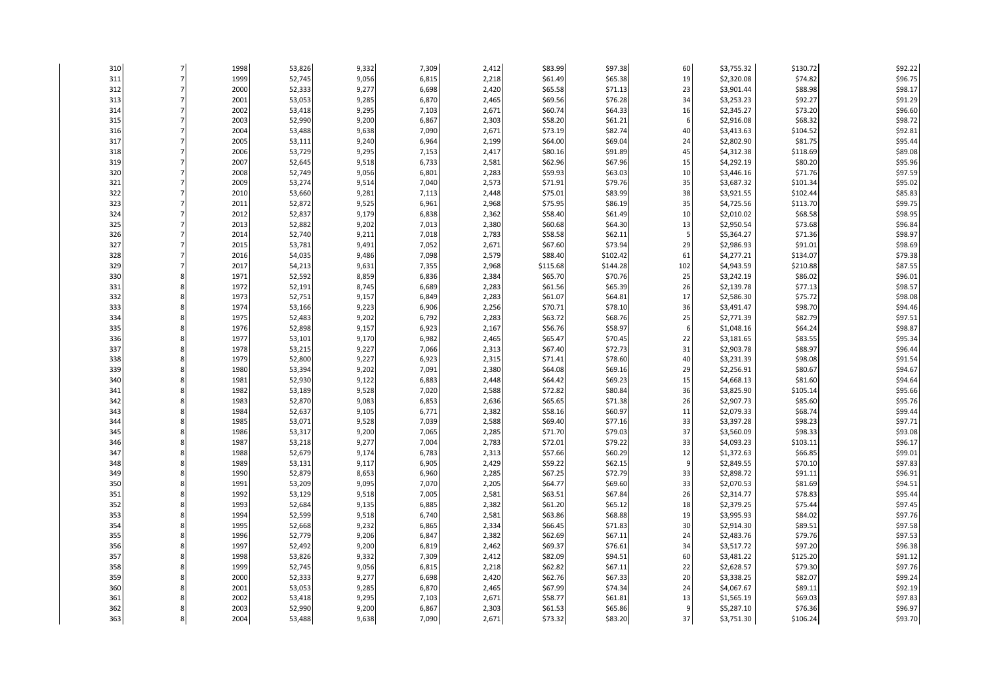| 310        | 1998         | 53,826           | 9,332          | 7,309          | 2,412          | \$83.99             | \$97.38             | 60                   | \$3,755.32               | \$130.72            | \$92.22            |
|------------|--------------|------------------|----------------|----------------|----------------|---------------------|---------------------|----------------------|--------------------------|---------------------|--------------------|
| 311        | 1999         | 52,745           | 9,056          | 6,815          | 2,218          | \$61.49             | \$65.38             | 19                   | \$2,320.08               | \$74.82             | \$96.75            |
| 312        | 2000         | 52,333           | 9,277          | 6,698          | 2,420          | \$65.58             | \$71.13             | 23                   | \$3,901.44               | \$88.98             | \$98.17            |
| 313        | 2001         | 53,053           | 9,285          | 6,870          | 2,465          | \$69.56             | \$76.28             | 34                   | \$3,253.23               | \$92.27             | \$91.29            |
| 314        | 2002         | 53,418           | 9,295          | 7,103          | 2,671          | \$60.74             | \$64.33             | 16                   | \$2,345.27               | \$73.20             | \$96.60            |
| 315        | 2003         | 52,990           | 9,200          | 6,867          | 2,303          | \$58.20             | \$61.21             | 6                    | \$2,916.08               | \$68.32             | \$98.72            |
| 316        | 2004         | 53,488           | 9,638          | 7,090          | 2,671          | \$73.19             | \$82.74             | 40                   | \$3,413.63               | \$104.52            | \$92.81            |
| 317        | 2005         | 53,111           | 9,240          | 6,964          | 2,199          | \$64.00             | \$69.04             | 24                   | \$2,802.90               | \$81.75             | \$95.44            |
| 318        | 2006         | 53,729           | 9,295          | 7,153          | 2,417          | \$80.16             | \$91.89             | 45                   | \$4,312.38               | \$118.69            | \$89.08            |
| 319        | 2007         | 52,645           | 9,518          | 6,733          | 2,581          | \$62.96             | \$67.96             | 15                   | \$4,292.19               | \$80.20             | \$95.96            |
| 320        | 2008         | 52,749           | 9,056          | 6,801          | 2,283          | \$59.93             | \$63.03             | 10                   | \$3,446.16               | \$71.76             | \$97.59            |
| 321        | 2009         | 53,274           | 9,514          | 7,040          | 2,573          | \$71.91             | \$79.76             | 35                   | \$3,687.32               | \$101.34            | \$95.02            |
| 322        | 2010         | 53,660           | 9,281          | 7,113          | 2,448          | \$75.01             | \$83.99             | 38                   | \$3,921.55               | \$102.44            | \$85.83            |
| 323        | 2011         | 52,872           | 9,525          | 6,961          | 2,968          | \$75.95             | \$86.19             | 35                   | \$4,725.56               | \$113.70            | \$99.75            |
| 324        | 2012         | 52,837           | 9,179          | 6,838          | 2,362          | \$58.40             | \$61.49             | 10                   | \$2,010.02               | \$68.58             | \$98.95            |
| 325        | 2013         | 52,882           | 9,202          | 7,013          | 2,380          | \$60.68             | \$64.30             | 13<br>$\overline{5}$ | \$2,950.54               | \$73.68             | \$96.84            |
| 326        | 2014         | 52,740           | 9,211          | 7,018          | 2,783          | \$58.58             | \$62.11             |                      | \$5,364.27               | \$71.36             | \$98.97            |
| 327<br>328 | 2015<br>2016 | 53,781<br>54,035 | 9,491          | 7,052<br>7,098 | 2,671<br>2,579 | \$67.60             | \$73.94<br>\$102.42 | 29<br>61             | \$2,986.93               | \$91.01             | \$98.69<br>\$79.38 |
|            |              |                  | 9,486          |                |                | \$88.40             |                     |                      | \$4,277.21               | \$134.07            | \$87.55            |
| 329<br>330 | 2017<br>1971 | 54,213           | 9,631<br>8,859 | 7,355<br>6,836 | 2,968<br>2,384 | \$115.68<br>\$65.70 | \$144.28<br>\$70.76 | 102<br>25            | \$4,943.59<br>\$3,242.19 | \$210.88<br>\$86.02 | \$96.01            |
| 331        | 1972         | 52,592<br>52,191 | 8,745          | 6,689          | 2,283          | \$61.56             | \$65.39             | 26                   | \$2,139.78               | \$77.13             | \$98.57            |
| 332        | 1973         | 52,751           | 9,157          | 6,849          | 2,283          | \$61.07             | \$64.81             | 17                   | \$2,586.30               | \$75.72             | \$98.08            |
| 333        | 1974         | 53,166           | 9,223          | 6,906          | 2,256          | \$70.71             | \$78.10             | 36                   | \$3,491.47               | \$98.70             | \$94.46            |
| 334        | 1975         | 52,483           | 9,202          | 6,792          | 2,283          | \$63.72             | \$68.76             | 25                   | \$2,771.39               | \$82.79             | \$97.51            |
| 335        | 1976         | 52,898           | 9,157          | 6,923          | 2,167          | \$56.76             | \$58.97             |                      | \$1,048.16               | \$64.24             | \$98.87            |
| 336        | 1977         | 53,101           | 9,170          | 6,982          | 2,465          | \$65.47             | \$70.45             | 22                   | \$3,181.65               | \$83.55             | \$95.34            |
| 337        | 1978         | 53,215           | 9,227          | 7,066          | 2,313          | \$67.40             | \$72.73             | 31                   | \$2,903.78               | \$88.97             | \$96.44            |
| 338        | 1979         | 52,800           | 9,227          | 6,923          | 2,315          | \$71.41             | \$78.60             | 40                   | \$3,231.39               | \$98.08             | \$91.54            |
| 339        | 1980         | 53,394           | 9,202          | 7,091          | 2,380          | \$64.08             | \$69.16             | 29                   | \$2,256.91               | \$80.67             | \$94.67            |
| 340        | 1981         | 52,930           | 9,122          | 6,883          | 2,448          | \$64.42             | \$69.23             | 15                   | \$4,668.13               | \$81.60             | \$94.64            |
| 341        | 1982         | 53,189           | 9,528          | 7,020          | 2,588          | \$72.82             | \$80.84             | 36                   | \$3,825.90               | \$105.14            | \$95.66            |
| 342        | 1983         | 52,870           | 9,083          | 6,853          | 2,636          | \$65.65             | \$71.38             | 26                   | \$2,907.73               | \$85.60             | \$95.76            |
| 343        | 1984         | 52,637           | 9,105          | 6,771          | 2,382          | \$58.16             | \$60.97             | 11                   | \$2,079.33               | \$68.74             | \$99.44            |
| 344        | 1985         | 53,071           | 9,528          | 7,039          | 2,588          | \$69.40             | \$77.16             | 33                   | \$3,397.28               | \$98.23             | \$97.71            |
| 345        | 1986         | 53,317           | 9,200          | 7,065          | 2,285          | \$71.70             | \$79.03             | 37                   | \$3,560.09               | \$98.33             | \$93.08            |
| 346        | 1987         | 53,218           | 9,277          | 7,004          | 2,783          | \$72.01             | \$79.22             | 33                   | \$4,093.23               | \$103.11            | \$96.17            |
| 347        | 1988         | 52,679           | 9,174          | 6,783          | 2,313          | \$57.66             | \$60.29             | 12                   | \$1,372.63               | \$66.85             | \$99.01            |
| 348        | 1989         | 53,131           | 9,117          | 6,905          | 2,429          | \$59.22             | \$62.15             | 9                    | \$2,849.55               | \$70.10             | \$97.83            |
| 349        | 1990         | 52,879           | 8,653          | 6,960          | 2,285          | \$67.25             | \$72.79             | 33                   | \$2,898.72               | \$91.11             | \$96.91            |
| 350        | 1991         | 53,209           | 9,095          | 7,070          | 2,205          | \$64.77             | \$69.60             | 33                   | \$2,070.53               | \$81.69             | \$94.51            |
| 351        | 1992         | 53,129           | 9,518          | 7,005          | 2,581          | \$63.51             | \$67.84             | 26                   | \$2,314.77               | \$78.83             | \$95.44            |
| 352        | 1993         | 52,684           | 9,135          | 6,885          | 2,382          | \$61.20             | \$65.12             | 18                   | \$2,379.25               | \$75.44             | \$97.45            |
| 353        | 1994         | 52,599           | 9,518          | 6,740          | 2,581          | \$63.86             | \$68.88             | 19                   | \$3,995.93               | \$84.02             | \$97.76            |
| 354        | 1995         | 52,668           | 9,232          | 6,865          | 2,334          | \$66.45             | \$71.83             | 30                   | \$2,914.30               | \$89.51             | \$97.58            |
| 355        | 1996         | 52,779           | 9,206          | 6,847          | 2,382          | \$62.69             | \$67.11             | 24                   | \$2,483.76               | \$79.76             | \$97.53            |
| 356        | 1997         | 52,492           | 9,200          | 6,819          | 2,462          | \$69.37             | \$76.61             | 34                   | \$3,517.72               | \$97.20             | \$96.38            |
| 357        | 1998         | 53,826           | 9,332          | 7,309          | 2,412          | \$82.09             | \$94.51             | 60                   | \$3,481.22               | \$125.20            | \$91.12            |
| 358        | 1999         | 52,745           | 9,056          | 6,815          | 2,218          | \$62.82             | \$67.11             | 22                   | \$2,628.57               | \$79.30             | \$97.76            |
| 359        | 2000         | 52,333           | 9,277          | 6,698          | 2,420          | \$62.76             | \$67.33             | 20                   | \$3,338.25               | \$82.07             | \$99.24            |
| 360        | 2001         | 53,053           | 9,285          | 6,870          | 2,465          | \$67.99             | \$74.34             | 24                   | \$4,067.67               | \$89.11             | \$92.19            |
| 361<br>362 | 2002         | 53,418           | 9,295          | 7,103          | 2,671          | \$58.77             | \$61.81             | 13                   | \$1,565.19               | \$69.03             | \$97.83            |
|            | 2003<br>2004 | 52,990           | 9,200          | 6,867          | 2,303<br>2,671 | \$61.53<br>\$73.32  | \$65.86<br>\$83.20  | 37                   | \$5,287.10               | \$76.36             | \$96.97            |
| 363        |              | 53,488           | 9,638          | 7,090          |                |                     |                     |                      | \$3,751.30               | \$106.24            | \$93.70            |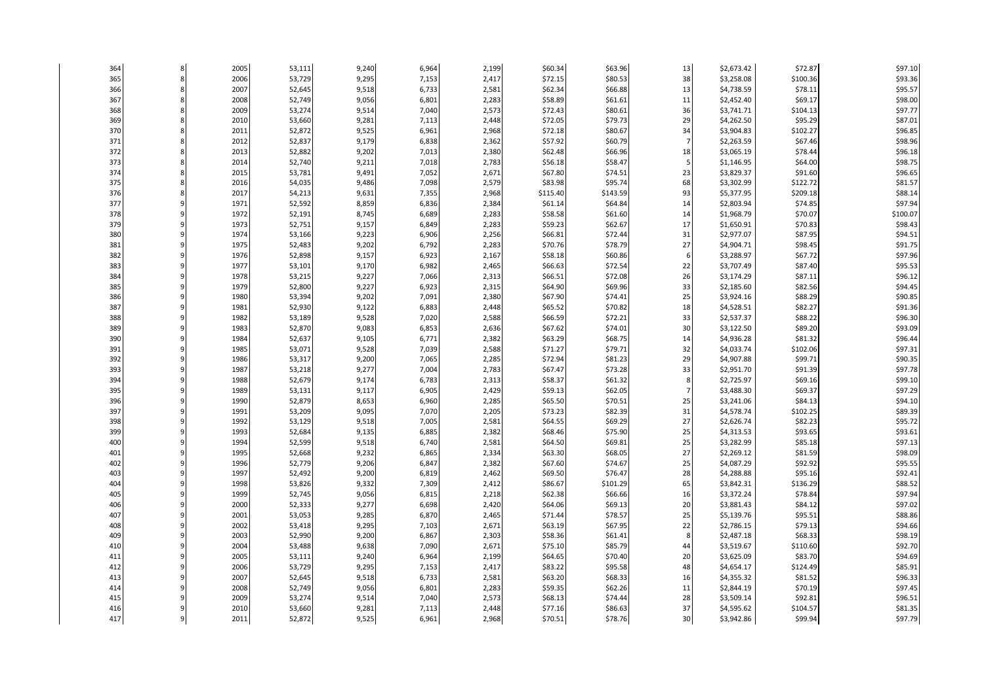| 364        | 8 | 2005         | 53,111           | 9,240          | 6,964          | 2,199          | \$60.34            | \$63.96            | 13             | \$2,673.42               | \$72.87             | \$97.10            |
|------------|---|--------------|------------------|----------------|----------------|----------------|--------------------|--------------------|----------------|--------------------------|---------------------|--------------------|
| 365        | 8 | 2006         | 53,729           | 9,295          | 7,153          | 2,417          | \$72.15            | \$80.53            | 38             | \$3,258.08               | \$100.36            | \$93.36            |
| 366        | ۶ | 2007         | 52,645           | 9,518          | 6,733          | 2,581          | \$62.34            | \$66.88            | 13             | \$4,738.59               | \$78.11             | \$95.57            |
| 367        | ٤ | 2008         | 52,749           | 9,056          | 6,801          | 2,283          | \$58.89            | \$61.61            | 11             | \$2,452.40               | \$69.17             | \$98.00            |
| 368        |   | 2009         | 53,274           | 9,514          | 7,040          | 2,573          | \$72.43            | \$80.61            | 36             | \$3,741.71               | \$104.13            | \$97.77            |
| 369        |   | 2010         | 53,660           | 9,281          | 7,113          | 2,448          | \$72.05            | \$79.73            | 29             | \$4,262.50               | \$95.29             | \$87.01            |
| 370        |   | 2011         | 52,872           | 9,525          | 6,961          | 2,968          | \$72.18            | \$80.67            | 34             | \$3,904.83               | \$102.27            | \$96.85            |
| 371        |   | 2012         | 52,837           | 9,179          | 6,838          | 2,362          | \$57.92            | \$60.79            | $\overline{7}$ | \$2,263.59               | \$67.46             | \$98.96            |
| 372        |   | 2013         | 52,882           | 9,202          | 7,013          | 2,380          | \$62.48            | \$66.96            | 18             | \$3,065.19               | \$78.44             | \$96.18            |
| 373        |   | 2014         | 52,740           | 9,211          | 7,018          | 2,783          | \$56.18            | \$58.47            | 5              | \$1,146.95               | \$64.00             | \$98.75            |
| 374        |   | 2015         | 53,781           | 9,491          | 7,052          | 2,671          | \$67.80            | \$74.51            | 23             | \$3,829.37               | \$91.60             | \$96.65            |
| 375        |   | 2016         | 54,035           | 9,486          | 7,098          | 2,579          | \$83.98            | \$95.74            | 68             | \$3,302.99               | \$122.72            | \$81.57            |
| 376        |   | 2017         | 54,213           | 9,631          | 7,355          | 2,968          | \$115.40           | \$143.59           | 93             | \$5,377.95               | \$209.18            | \$88.14            |
| 377        |   | 1971         | 52,592           | 8,859          | 6,836          | 2,384          | \$61.14            | \$64.84            | 14             | \$2,803.94               | \$74.85             | \$97.94            |
| 378        |   | 1972         | 52,191           | 8,745          | 6,689          | 2,283          | \$58.58            | \$61.60            | 14             | \$1,968.79               | \$70.07             | \$100.07           |
| 379        |   | 1973         | 52,751           | 9,157          | 6,849          | 2,283          | \$59.23            | \$62.67            | 17             | \$1,650.91               | \$70.83             | \$98.43            |
| 380        |   | 1974         | 53,166           | 9,223          | 6,906          | 2,256          | \$66.81            | \$72.44            | 31             | \$2,977.07               | \$87.95             | \$94.51            |
| 381        |   | 1975         | 52,483           | 9,202          | 6,792          | 2,283          | \$70.76            | \$78.79            | 27             | \$4,904.71               | \$98.45             | \$91.75            |
| 382        |   | 1976         | 52,898           | 9,157          | 6,923          | 2,167          | \$58.18            | \$60.86            | 6              | \$3,288.97               | \$67.72             | \$97.96            |
| 383        |   | 1977         | 53,101           | 9,170          | 6,982          | 2,465          | \$66.63            | \$72.54            | 22             | \$3,707.49               | \$87.40             | \$95.53            |
| 384        |   | 1978         | 53,215           | 9,227          | 7,066          | 2,313          | \$66.51            | \$72.08            | 26             | \$3,174.29               | \$87.11             | \$96.12            |
| 385        |   | 1979         | 52,800           | 9,227          | 6,923          | 2,315          | \$64.90            | \$69.96            | 33             | \$2,185.60               | \$82.56             | \$94.45            |
| 386        |   | 1980         | 53,394           | 9,202          | 7,091          | 2,380          | \$67.90            | \$74.41            | 25             | \$3,924.16               | \$88.29             | \$90.85            |
| 387        |   | 1981         | 52,930           | 9,122          | 6,883          | 2,448          | \$65.52            | \$70.82            | 18             | \$4,528.51               | \$82.27             | \$91.36            |
| 388        |   | 1982<br>1983 | 53,189           | 9,528          | 7,020          | 2,588          | \$66.59            | \$72.21            | 33             | \$2,537.37               | \$88.22             | \$96.30            |
| 389<br>390 |   |              | 52,870           | 9,083          | 6,853          | 2,636          | \$67.62            | \$74.01            | 30             | \$3,122.50               | \$89.20             | \$93.09            |
| 391        |   | 1984<br>1985 | 52,637           | 9,105          | 6,771          | 2,382<br>2,588 | \$63.29<br>\$71.27 | \$68.75<br>\$79.71 | 14<br>32       | \$4,936.28               | \$81.32             | \$96.44<br>\$97.31 |
| 392        |   | 1986         | 53,071<br>53,317 | 9,528<br>9,200 | 7,039<br>7,065 | 2,285          | \$72.94            | \$81.23            | 29             | \$4,033.74<br>\$4,907.88 | \$102.06<br>\$99.71 | \$90.35            |
| 393        |   | 1987         | 53,218           | 9,277          | 7,004          | 2,783          | \$67.47            | \$73.28            | 33             | \$2,951.70               | \$91.39             | \$97.78            |
| 394        |   | 1988         | 52,679           | 9,174          | 6,783          | 2,313          | \$58.37            | \$61.32            | 8              | \$2,725.97               | \$69.16             | \$99.10            |
| 395        |   | 1989         | 53,131           | 9,117          | 6,905          | 2,429          | \$59.13            | \$62.05            | $\overline{7}$ | \$3,488.30               | \$69.37             | \$97.29            |
| 396        |   | 1990         | 52,879           | 8,653          | 6,960          | 2,285          | \$65.50            | \$70.51            | 25             | \$3,241.06               | \$84.13             | \$94.10            |
| 397        |   | 1991         | 53,209           | 9,095          | 7,070          | 2,205          | \$73.23            | \$82.39            | 31             | \$4,578.74               | \$102.25            | \$89.39            |
| 398        |   | 1992         | 53,129           | 9,518          | 7,005          | 2,581          | \$64.55            | \$69.29            | 27             | \$2,626.74               | \$82.23             | \$95.72            |
| 399        |   | 1993         | 52,684           | 9,135          | 6,885          | 2,382          | \$68.46            | \$75.90            | 25             | \$4,313.53               | \$93.65             | \$93.61            |
| 400        |   | 1994         | 52,599           | 9,518          | 6,740          | 2,581          | \$64.50            | \$69.81            | 25             | \$3,282.99               | \$85.18             | \$97.13            |
| 401        |   | 1995         | 52,668           | 9,232          | 6,865          | 2,334          | \$63.30            | \$68.05            | 27             | \$2,269.12               | \$81.59             | \$98.09            |
| 402        |   | 1996         | 52,779           | 9,206          | 6,847          | 2,382          | \$67.60            | \$74.67            | 25             | \$4,087.29               | \$92.92             | \$95.55            |
| 403        |   | 1997         | 52,492           | 9,200          | 6,819          | 2,462          | \$69.50            | \$76.47            | 28             | \$4,288.88               | \$95.16             | \$92.41            |
| 404        |   | 1998         | 53,826           | 9,332          | 7,309          | 2,412          | \$86.67            | \$101.29           | 65             | \$3,842.31               | \$136.29            | \$88.52            |
| 405        |   | 1999         | 52,745           | 9,056          | 6,815          | 2,218          | \$62.38            | \$66.66            | 16             | \$3,372.24               | \$78.84             | \$97.94            |
| 406        |   | 2000         | 52,333           | 9,277          | 6,698          | 2,420          | \$64.06            | \$69.13            | 20             | \$3,881.43               | \$84.12             | \$97.02            |
| 407        |   | 2001         | 53,053           | 9,285          | 6,870          | 2,465          | \$71.44            | \$78.57            | 25             | \$5,139.76               | \$95.51             | \$88.86            |
| 408        |   | 2002         | 53,418           | 9,295          | 7,103          | 2,671          | \$63.19            | \$67.95            | 22             | \$2,786.15               | \$79.13             | \$94.66            |
| 409        |   | 2003         | 52,990           | 9,200          | 6,867          | 2,303          | \$58.36            | \$61.41            | 8              | \$2,487.18               | \$68.33             | \$98.19            |
| 410        |   | 2004         | 53,488           | 9,638          | 7,090          | 2,671          | \$75.10            | \$85.79            | 44             | \$3,519.67               | \$110.60            | \$92.70            |
| 411        |   | 2005         | 53,111           | 9,240          | 6,964          | 2,199          | \$64.65            | \$70.40            | 20             | \$3,625.09               | \$83.70             | \$94.69            |
| 412        |   | 2006         | 53,729           | 9,295          | 7,153          | 2,417          | \$83.22            | \$95.58            | 48             | \$4,654.17               | \$124.49            | \$85.91            |
| 413        |   | 2007         | 52,645           | 9,518          | 6,733          | 2,581          | \$63.20            | \$68.33            | 16             | \$4,355.32               | \$81.52             | \$96.33            |
| 414        |   | 2008         | 52,749           | 9,056          | 6,801          | 2,283          | \$59.35            | \$62.26            | 11             | \$2,844.19               | \$70.19             | \$97.45            |
| 415        |   | 2009         | 53,274           | 9,514          | 7,040          | 2,573          | \$68.13            | \$74.44            | 28             | \$3,509.14               | \$92.81             | \$96.51            |
| 416        |   | 2010         | 53,660           | 9,281          | 7,113          | 2,448          | \$77.16            | \$86.63            | 37             | \$4,595.62               | \$104.57            | \$81.35            |
| 417        |   | 2011         | 52,872           | 9,525          | 6,961          | 2,968          | \$70.51            | \$78.76            | 30             | \$3,942.86               | \$99.94             | \$97.79            |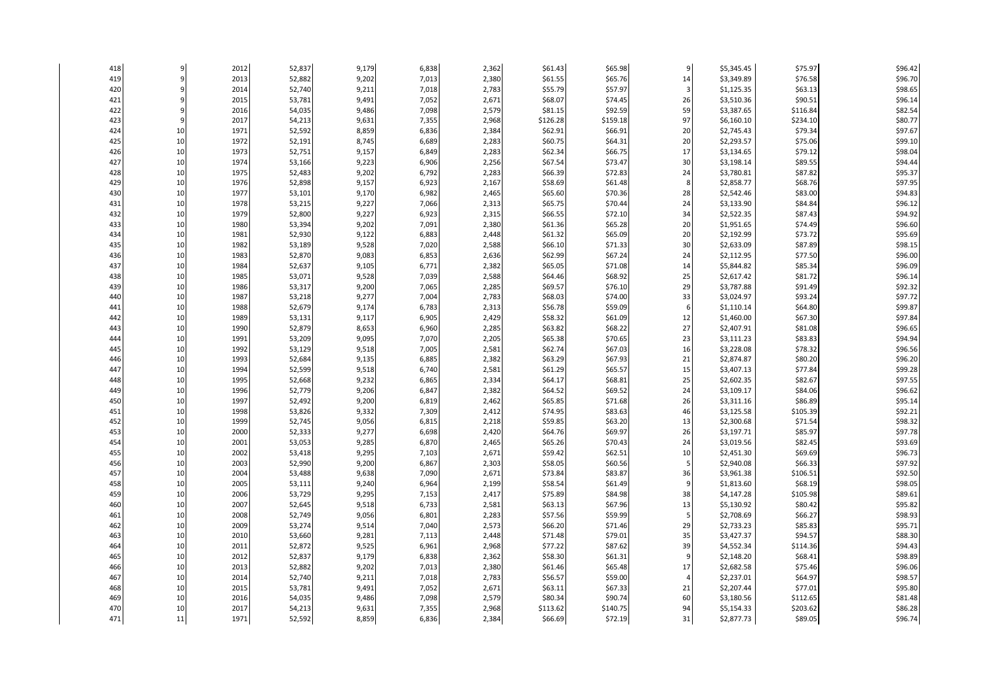| 418 |        | 2012 | 52,837 | 9,179 | 6,838 | 2,362 | \$61.43  | \$65.98  | 9              | \$5,345.45 | \$75.97  | \$96.42 |
|-----|--------|------|--------|-------|-------|-------|----------|----------|----------------|------------|----------|---------|
| 419 |        | 2013 | 52,882 | 9,202 | 7,013 | 2,380 | \$61.55  | \$65.76  | 14             | \$3,349.89 | \$76.58  | \$96.70 |
| 420 |        | 2014 | 52,740 | 9,211 | 7,018 | 2,783 | \$55.79  | \$57.97  | $\overline{3}$ | \$1,125.35 | \$63.13  | \$98.65 |
| 421 |        | 2015 | 53,781 | 9,491 | 7,052 | 2,671 | \$68.07  | \$74.45  | 26             | \$3,510.36 | \$90.51  | \$96.14 |
| 422 |        | 2016 | 54,035 | 9,486 | 7,098 | 2,579 | \$81.15  | \$92.59  | 59             | \$3,387.65 | \$116.84 | \$82.54 |
| 423 |        | 2017 | 54,213 | 9,631 | 7,355 | 2,968 | \$126.28 | \$159.18 | 97             | \$6,160.10 | \$234.10 | \$80.77 |
| 424 | 10     | 1971 | 52,592 | 8,859 | 6,836 | 2,384 | \$62.91  | \$66.91  | 20             | \$2,745.43 | \$79.34  | \$97.67 |
| 425 | 10     | 1972 | 52,191 | 8,745 | 6,689 | 2,283 | \$60.75  | \$64.31  | 20             | \$2,293.57 | \$75.06  | \$99.10 |
| 426 | $10\,$ | 1973 | 52,751 | 9,157 | 6,849 | 2,283 | \$62.34  | \$66.75  | 17             | \$3,134.65 | \$79.12  | \$98.04 |
| 427 | 10     | 1974 | 53,166 | 9,223 | 6,906 | 2,256 | \$67.54  | \$73.47  | 30             | \$3,198.14 | \$89.55  | \$94.44 |
| 428 | 10     | 1975 | 52,483 | 9,202 | 6,792 | 2,283 | \$66.39  | \$72.83  | 24             | \$3,780.81 | \$87.82  | \$95.37 |
| 429 | 10     | 1976 | 52,898 | 9,157 | 6,923 | 2,167 | \$58.69  | \$61.48  | 8              | \$2,858.77 | \$68.76  | \$97.95 |
| 430 | 10     | 1977 | 53,101 | 9,170 | 6,982 | 2,465 | \$65.60  | \$70.36  | 28             | \$2,542.46 | \$83.00  | \$94.83 |
| 431 | 10     | 1978 | 53,215 | 9,227 | 7,066 | 2,313 | \$65.75  | \$70.44  | 24             | \$3,133.90 | \$84.84  | \$96.12 |
| 432 | $10\,$ | 1979 | 52,800 | 9,227 | 6,923 | 2,315 | \$66.55  | \$72.10  | 34             | \$2,522.35 | \$87.43  | \$94.92 |
| 433 | 10     | 1980 | 53,394 | 9,202 | 7,091 | 2,380 | \$61.36  | \$65.28  | 20             | \$1,951.65 | \$74.49  | \$96.60 |
| 434 | 10     | 1981 | 52,930 | 9,122 | 6,883 | 2,448 | \$61.32  | \$65.09  | 20             | \$2,192.99 | \$73.72  | \$95.69 |
| 435 | 10     | 1982 | 53,189 | 9,528 | 7,020 | 2,588 | \$66.10  | \$71.33  | 30             | \$2,633.09 | \$87.89  | \$98.15 |
| 436 | 10     | 1983 | 52,870 | 9,083 | 6,853 | 2,636 | \$62.99  | \$67.24  | 24             | \$2,112.95 | \$77.50  | \$96.00 |
| 437 | $10\,$ | 1984 | 52,637 | 9,105 | 6,771 | 2,382 | \$65.05  | \$71.08  | 14             | \$5,844.82 | \$85.34  | \$96.09 |
| 438 | 10     | 1985 | 53,071 | 9,528 | 7,039 | 2,588 | \$64.46  | \$68.92  | 25             | \$2,617.42 | \$81.72  | \$96.14 |
| 439 | 10     | 1986 | 53,317 | 9,200 | 7,065 | 2,285 | \$69.57  | \$76.10  | 29             | \$3,787.88 | \$91.49  | \$92.32 |
| 440 | $10\,$ | 1987 | 53,218 | 9,277 | 7,004 | 2,783 | \$68.03  | \$74.00  | 33             | \$3,024.97 | \$93.24  | \$97.72 |
| 441 | 10     | 1988 | 52,679 | 9,174 | 6,783 | 2,313 | \$56.78  | \$59.09  | 6              | \$1,110.14 | \$64.80  | \$99.87 |
| 442 | $10\,$ | 1989 | 53,131 | 9,117 | 6,905 | 2,429 | \$58.32  | \$61.09  | 12             | \$1,460.00 | \$67.30  | \$97.84 |
| 443 | 10     | 1990 | 52,879 | 8,653 | 6,960 | 2,285 | \$63.82  | \$68.22  | 27             | \$2,407.91 | \$81.08  | \$96.65 |
| 444 | 10     | 1991 | 53,209 | 9,095 | 7,070 | 2,205 | \$65.38  | \$70.65  | 23             | \$3,111.23 | \$83.83  | \$94.94 |
| 445 | $10\,$ | 1992 | 53,129 | 9,518 | 7,005 | 2,581 | \$62.74  | \$67.03  | 16             | \$3,228.08 | \$78.32  | \$96.56 |
| 446 | 10     | 1993 | 52,684 | 9,135 | 6,885 | 2,382 | \$63.29  | \$67.93  | 21             | \$2,874.87 | \$80.20  | \$96.20 |
| 447 | 10     | 1994 | 52,599 | 9,518 | 6,740 | 2,581 | \$61.29  | \$65.57  | 15             | \$3,407.13 | \$77.84  | \$99.28 |
| 448 | 10     | 1995 | 52,668 | 9,232 | 6,865 | 2,334 | \$64.17  | \$68.81  | 25             | \$2,602.35 | \$82.67  | \$97.55 |
| 449 | 10     | 1996 | 52,779 | 9,206 | 6,847 | 2,382 | \$64.52  | \$69.52  | 24             | \$3,109.17 | \$84.06  | \$96.62 |
| 450 | 10     | 1997 | 52,492 | 9,200 | 6,819 | 2,462 | \$65.85  | \$71.68  | 26             | \$3,311.16 | \$86.89  | \$95.14 |
| 451 | 10     | 1998 | 53,826 | 9,332 | 7,309 | 2,412 | \$74.95  | \$83.63  | 46             | \$3,125.58 | \$105.39 | \$92.21 |
| 452 | 10     | 1999 | 52,745 | 9,056 | 6,815 | 2,218 | \$59.85  | \$63.20  | 13             | \$2,300.68 | \$71.54  | \$98.32 |
| 453 | $10\,$ | 2000 | 52,333 | 9,277 | 6,698 | 2,420 | \$64.76  | \$69.97  | 26             | \$3,197.71 | \$85.97  | \$97.78 |
| 454 | 10     | 2001 | 53,053 | 9,285 | 6,870 | 2,465 | \$65.26  | \$70.43  | 24             | \$3,019.56 | \$82.45  | \$93.69 |
| 455 | 10     | 2002 | 53,418 | 9,295 | 7,103 | 2,671 | \$59.42  | \$62.51  | 10             | \$2,451.30 | \$69.69  | \$96.73 |
| 456 | 10     | 2003 | 52,990 | 9,200 | 6,867 | 2,303 | \$58.05  | \$60.56  | 5              | \$2,940.08 | \$66.33  | \$97.92 |
| 457 | 10     | 2004 | 53,488 | 9,638 | 7,090 | 2,671 | \$73.84  | \$83.87  | 36             | \$3,961.38 | \$106.51 | \$92.50 |
| 458 | $10\,$ | 2005 | 53,111 | 9,240 | 6,964 | 2,199 | \$58.54  | \$61.49  | g              | \$1,813.60 | \$68.19  | \$98.05 |
| 459 | 10     | 2006 | 53,729 | 9,295 | 7,153 | 2,417 | \$75.89  | \$84.98  | 38             | \$4,147.28 | \$105.98 | \$89.61 |
| 460 | 10     | 2007 | 52,645 | 9,518 | 6,733 | 2,581 | \$63.13  | \$67.96  | 13             | \$5,130.92 | \$80.42  | \$95.82 |
| 461 | 10     | 2008 | 52,749 | 9,056 | 6,801 | 2,283 | \$57.56  | \$59.99  | 5              | \$2,708.69 | \$66.27  | \$98.93 |
| 462 | 10     | 2009 | 53,274 | 9,514 | 7,040 | 2,573 | \$66.20  | \$71.46  | 29             | \$2,733.23 | \$85.83  | \$95.71 |
| 463 | $10\,$ | 2010 | 53,660 | 9,281 | 7,113 | 2,448 | \$71.48  | \$79.01  | 35             | \$3,427.37 | \$94.57  | \$88.30 |
| 464 | 10     | 2011 | 52,872 | 9,525 | 6,961 | 2,968 | \$77.22  | \$87.62  | 39             | \$4,552.34 | \$114.36 | \$94.43 |
| 465 | 10     | 2012 | 52,837 | 9,179 | 6,838 | 2,362 | \$58.30  | \$61.31  | q              | \$2,148.20 | \$68.41  | \$98.89 |
| 466 | $10\,$ | 2013 | 52,882 | 9,202 | 7,013 | 2,380 | \$61.46  | \$65.48  | 17             | \$2,682.58 | \$75.46  | \$96.06 |
| 467 | 10     | 2014 | 52,740 | 9,211 | 7,018 | 2,783 | \$56.57  | \$59.00  | $\overline{4}$ | \$2,237.01 | \$64.97  | \$98.57 |
| 468 | 10     | 2015 | 53,781 | 9,491 | 7,052 | 2,671 | \$63.11  | \$67.33  | 21             | \$2,207.44 | \$77.01  | \$95.80 |
| 469 | 10     | 2016 | 54,035 | 9,486 | 7,098 | 2,579 | \$80.34  | \$90.74  | 60             | \$3,180.56 | \$112.65 | \$81.48 |
| 470 | 10     | 2017 | 54,213 | 9,631 | 7,355 | 2,968 | \$113.62 | \$140.75 | 94             | \$5,154.33 | \$203.62 | \$86.28 |
| 471 | 11     | 1971 | 52,592 | 8,859 | 6,836 | 2,384 | \$66.69  | \$72.19  | 31             | \$2,877.73 | \$89.05  | \$96.74 |